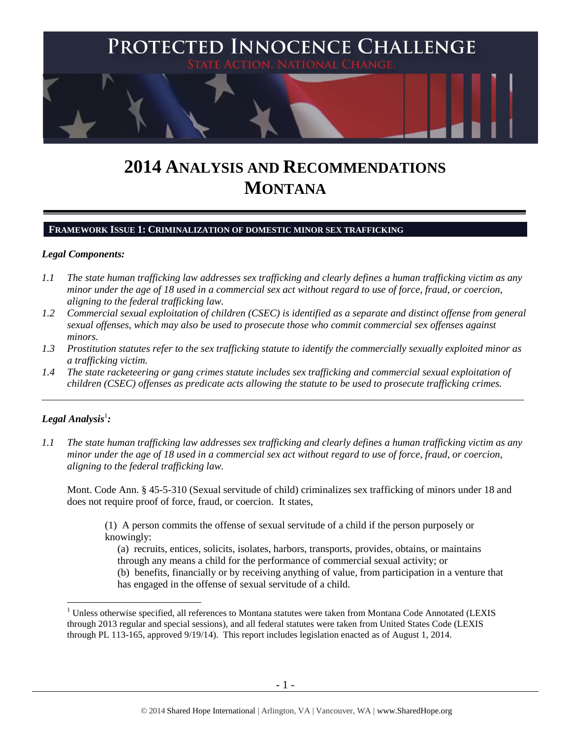

# **2014 ANALYSIS AND RECOMMENDATIONS MONTANA**

## **FRAMEWORK ISSUE 1: CRIMINALIZATION OF DOMESTIC MINOR SEX TRAFFICKING**

## *Legal Components:*

- *1.1 The state human trafficking law addresses sex trafficking and clearly defines a human trafficking victim as any minor under the age of 18 used in a commercial sex act without regard to use of force, fraud, or coercion, aligning to the federal trafficking law.*
- *1.2 Commercial sexual exploitation of children (CSEC) is identified as a separate and distinct offense from general sexual offenses, which may also be used to prosecute those who commit commercial sex offenses against minors.*
- *1.3 Prostitution statutes refer to the sex trafficking statute to identify the commercially sexually exploited minor as a trafficking victim.*

\_\_\_\_\_\_\_\_\_\_\_\_\_\_\_\_\_\_\_\_\_\_\_\_\_\_\_\_\_\_\_\_\_\_\_\_\_\_\_\_\_\_\_\_\_\_\_\_\_\_\_\_\_\_\_\_\_\_\_\_\_\_\_\_\_\_\_\_\_\_\_\_\_\_\_\_\_\_\_\_\_\_\_\_\_\_\_\_\_\_\_\_\_\_

*1.4 The state racketeering or gang crimes statute includes sex trafficking and commercial sexual exploitation of children (CSEC) offenses as predicate acts allowing the statute to be used to prosecute trafficking crimes.* 

# $\bm{\mathit{Legal\, Analysis^1}}$ :

 $\overline{a}$ 

*1.1 The state human trafficking law addresses sex trafficking and clearly defines a human trafficking victim as any minor under the age of 18 used in a commercial sex act without regard to use of force, fraud, or coercion, aligning to the federal trafficking law.*

Mont. Code Ann. § 45-5-310 (Sexual servitude of child) criminalizes sex trafficking of minors under 18 and does not require proof of force, fraud, or coercion. It states,

(1) A person commits the offense of sexual servitude of a child if the person purposely or knowingly:

(a) recruits, entices, solicits, isolates, harbors, transports, provides, obtains, or maintains through any means a child for the performance of commercial sexual activity; or (b) benefits, financially or by receiving anything of value, from participation in a venture that has engaged in the offense of sexual servitude of a child.

<sup>&</sup>lt;sup>1</sup> Unless otherwise specified, all references to Montana statutes were taken from Montana Code Annotated (LEXIS through 2013 regular and special sessions), and all federal statutes were taken from United States Code (LEXIS through PL 113-165, approved 9/19/14). This report includes legislation enacted as of August 1, 2014.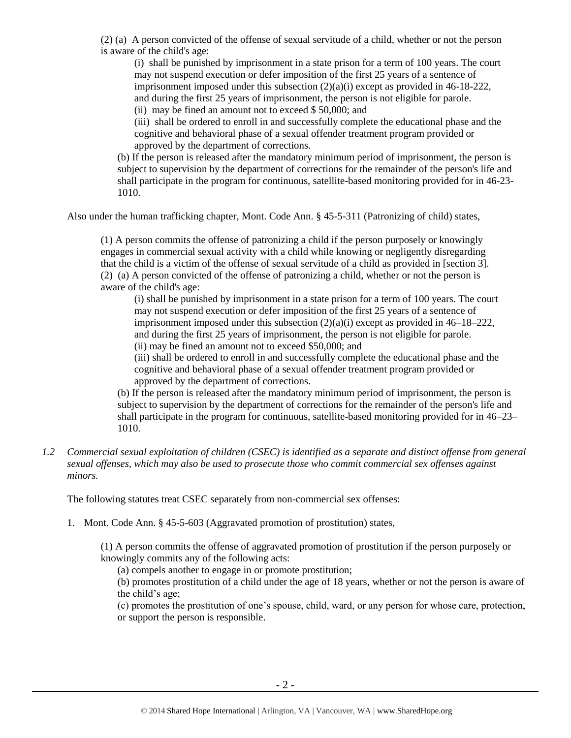(2) (a) A person convicted of the offense of sexual servitude of a child, whether or not the person is aware of the child's age:

(i) shall be punished by imprisonment in a state prison for a term of 100 years. The court may not suspend execution or defer imposition of the first 25 years of a sentence of imprisonment imposed under this subsection  $(2)(a)(i)$  except as provided in 46-18-222, and during the first 25 years of imprisonment, the person is not eligible for parole.

(ii) may be fined an amount not to exceed \$ 50,000; and

(iii) shall be ordered to enroll in and successfully complete the educational phase and the cognitive and behavioral phase of a sexual offender treatment program provided or approved by the department of corrections.

(b) If the person is released after the mandatory minimum period of imprisonment, the person is subject to supervision by the department of corrections for the remainder of the person's life and shall participate in the program for continuous, satellite-based monitoring provided for in 46-23- 1010.

Also under the human trafficking chapter, Mont. Code Ann. § 45-5-311 (Patronizing of child) states,

(1) A person commits the offense of patronizing a child if the person purposely or knowingly engages in commercial sexual activity with a child while knowing or negligently disregarding that the child is a victim of the offense of sexual servitude of a child as provided in [section 3]. (2) (a) A person convicted of the offense of patronizing a child, whether or not the person is aware of the child's age:

(i) shall be punished by imprisonment in a state prison for a term of 100 years. The court may not suspend execution or defer imposition of the first 25 years of a sentence of imprisonment imposed under this subsection (2)(a)(i) except as provided in 46–18–222, and during the first 25 years of imprisonment, the person is not eligible for parole. (ii) may be fined an amount not to exceed \$50,000; and

(iii) shall be ordered to enroll in and successfully complete the educational phase and the cognitive and behavioral phase of a sexual offender treatment program provided or approved by the department of corrections.

(b) If the person is released after the mandatory minimum period of imprisonment, the person is subject to supervision by the department of corrections for the remainder of the person's life and shall participate in the program for continuous, satellite-based monitoring provided for in 46–23– 1010.

*1.2 Commercial sexual exploitation of children (CSEC) is identified as a separate and distinct offense from general sexual offenses, which may also be used to prosecute those who commit commercial sex offenses against minors.*

The following statutes treat CSEC separately from non-commercial sex offenses:

1. Mont. Code Ann. § 45-5-603 (Aggravated promotion of prostitution) states,

(1) A person commits the offense of aggravated promotion of prostitution if the person purposely or knowingly commits any of the following acts:

(a) compels another to engage in or promote prostitution;

(b) promotes prostitution of a child under the age of 18 years, whether or not the person is aware of the child's age;

(c) promotes the prostitution of one's spouse, child, ward, or any person for whose care, protection, or support the person is responsible.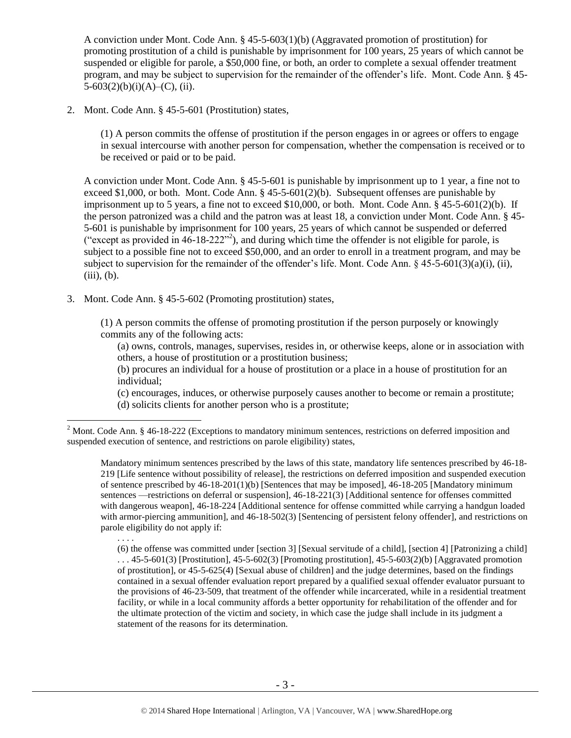A conviction under Mont. Code Ann. § 45-5-603(1)(b) (Aggravated promotion of prostitution) for promoting prostitution of a child is punishable by imprisonment for  $100$  years, 25 years of which cannot be suspended or eligible for parole, a \$50,000 fine, or both, an order to complete a sexual offender treatment program, and may be subject to supervision for the remainder of the offender's life. Mont. Code Ann. § 45-  $5-603(2)(b)(i)(A)$ –(C), (ii).

2. Mont. Code Ann. § 45-5-601 (Prostitution) states,

(1) A person commits the offense of prostitution if the person engages in or agrees or offers to engage in sexual intercourse with another person for compensation, whether the compensation is received or to be received or paid or to be paid.

A conviction under Mont. Code Ann. § 45-5-601 is punishable by imprisonment up to 1 year, a fine not to exceed \$1,000, or both. Mont. Code Ann.  $\S$  45-5-601(2)(b). Subsequent offenses are punishable by imprisonment up to 5 years, a fine not to exceed \$10,000, or both. Mont. Code Ann. § 45-5-601(2)(b). If the person patronized was a child and the patron was at least 18, a conviction under Mont. Code Ann. § 45- 5-601 is punishable by imprisonment for 100 years, 25 years of which cannot be suspended or deferred "except as provided in  $46-18-222"$ <sup>2</sup>), and during which time the offender is not eligible for parole, is subject to a possible fine not to exceed \$50,000, and an order to enroll in a treatment program, and may be subject to supervision for the remainder of the offender's life. Mont. Code Ann.  $\S$  45-5-601(3)(a)(i), (ii),  $(iii), (b).$ 

3. Mont. Code Ann. § 45-5-602 (Promoting prostitution) states,

<span id="page-2-0"></span>(1) A person commits the offense of promoting prostitution if the person purposely or knowingly commits any of the following acts:

(a) owns, controls, manages, supervises, resides in, or otherwise keeps, alone or in association with others, a house of prostitution or a prostitution business;

(b) procures an individual for a house of prostitution or a place in a house of prostitution for an individual;

(c) encourages, induces, or otherwise purposely causes another to become or remain a prostitute; (d) solicits clients for another person who is a prostitute;

Mandatory minimum sentences prescribed by the laws of this state, mandatory life sentences prescribed by 46-18- 219 [Life sentence without possibility of release], the restrictions on deferred imposition and suspended execution of sentence prescribed by 46-18-201(1)(b) [Sentences that may be imposed], 46-18-205 [Mandatory minimum sentences —restrictions on deferral or suspension], 46-18-221(3) [Additional sentence for offenses committed with dangerous weapon], 46-18-224 [Additional sentence for offense committed while carrying a handgun loaded with armor-piercing ammunition], and 46-18-502(3) [Sentencing of persistent felony offender], and restrictions on parole eligibility do not apply if:

. . . .

 $\overline{a}$ 

(6) the offense was committed under [section 3] [Sexual servitude of a child], [section 4] [Patronizing a child]  $\ldots$  45-5-601(3) [Prostitution], 45-5-602(3) [Promoting prostitution], 45-5-603(2)(b) [Aggravated promotion of prostitution], or 45-5-625(4) [Sexual abuse of children] and the judge determines, based on the findings contained in a sexual offender evaluation report prepared by a qualified sexual offender evaluator pursuant to the provisions of 46-23-509, that treatment of the offender while incarcerated, while in a residential treatment facility, or while in a local community affords a better opportunity for rehabilitation of the offender and for the ultimate protection of the victim and society, in which case the judge shall include in its judgment a statement of the reasons for its determination.

<sup>&</sup>lt;sup>2</sup> Mont. Code Ann. § 46-18-222 (Exceptions to mandatory minimum sentences, restrictions on deferred imposition and suspended execution of sentence, and restrictions on parole eligibility) states,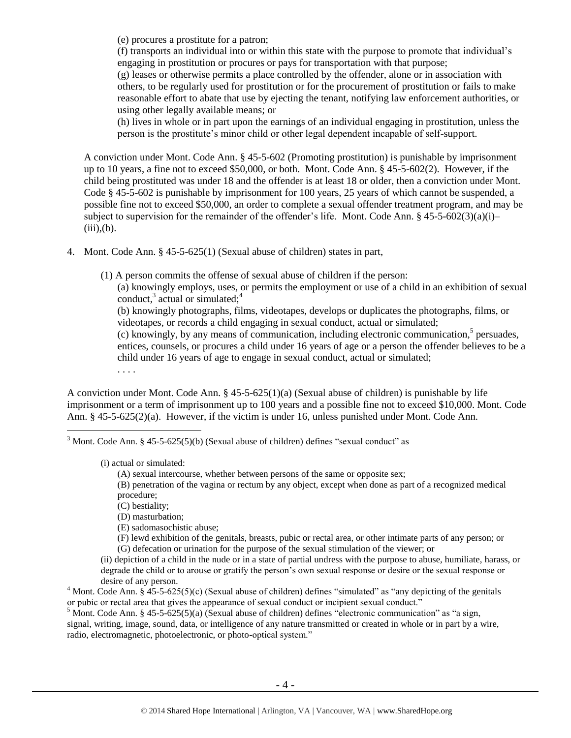(e) procures a prostitute for a patron;

(f) transports an individual into or within this state with the purpose to promote that individual's engaging in prostitution or procures or pays for transportation with that purpose;

(g) leases or otherwise permits a place controlled by the offender, alone or in association with others, to be regularly used for prostitution or for the procurement of prostitution or fails to make reasonable effort to abate that use by ejecting the tenant, notifying law enforcement authorities, or using other legally available means; or

(h) lives in whole or in part upon the earnings of an individual engaging in prostitution, unless the person is the prostitute's minor child or other legal dependent incapable of self-support.

A conviction under Mont. Code Ann. § 45-5-602 (Promoting prostitution) is punishable by imprisonment up to 10 years, a fine not to exceed \$50,000, or both. Mont. Code Ann. § 45-5-602(2). However, if the child being prostituted was under 18 and the offender is at least 18 or older, then a conviction under Mont. Code § 45-5-602 is punishable by imprisonment for 100 years, 25 years of which cannot be suspended, a possible fine not to exceed \$50,000, an order to complete a sexual offender treatment program, and may be subject to supervision for the remainder of the offender's life. Mont. Code Ann. § 45-5-602(3)(a)(i)–  $(iii)$ , $(b)$ .

4. Mont. Code Ann. § 45-5-625(1) (Sexual abuse of children) states in part,

(1) A person commits the offense of sexual abuse of children if the person:

(a) knowingly employs, uses, or permits the employment or use of a child in an exhibition of sexual conduct, $3$  actual or simulated; $4$ 

<span id="page-3-2"></span><span id="page-3-1"></span>(b) knowingly photographs, films, videotapes, develops or duplicates the photographs, films, or videotapes, or records a child engaging in sexual conduct, actual or simulated;

<span id="page-3-0"></span> $(c)$  knowingly, by any means of communication, including electronic communication,<sup>5</sup> persuades, entices, counsels, or procures a child under 16 years of age or a person the offender believes to be a child under 16 years of age to engage in sexual conduct, actual or simulated;

. . . .

 $\overline{a}$ 

A conviction under Mont. Code Ann. § 45-5-625(1)(a) (Sexual abuse of children) is punishable by life imprisonment or a term of imprisonment up to 100 years and a possible fine not to exceed \$10,000. Mont. Code Ann. § 45-5-625(2)(a). However, if the victim is under 16, unless punished under Mont. Code Ann.

 $3$  Mont. Code Ann. § 45-5-625(5)(b) (Sexual abuse of children) defines "sexual conduct" as

(i) actual or simulated:

(A) sexual intercourse, whether between persons of the same or opposite sex;

(B) penetration of the vagina or rectum by any object, except when done as part of a recognized medical procedure;

(C) bestiality;

(D) masturbation;

(E) sadomasochistic abuse;

(F) lewd exhibition of the genitals, breasts, pubic or rectal area, or other intimate parts of any person; or (G) defecation or urination for the purpose of the sexual stimulation of the viewer; or

(ii) depiction of a child in the nude or in a state of partial undress with the purpose to abuse, humiliate, harass, or degrade the child or to arouse or gratify the person's own sexual response or desire or the sexual response or desire of any person.

<sup>4</sup> Mont. Code Ann. §  $45-5-625(5)(c)$  (Sexual abuse of children) defines "simulated" as "any depicting of the genitals or pubic or rectal area that gives the appearance of sexual conduct or incipient sexual conduct."

<sup>5</sup> Mont. Code Ann. § 45-5-625(5)(a) (Sexual abuse of children) defines "electronic communication" as "a sign, signal, writing, image, sound, data, or intelligence of any nature transmitted or created in whole or in part by a wire, radio, electromagnetic, photoelectronic, or photo-optical system."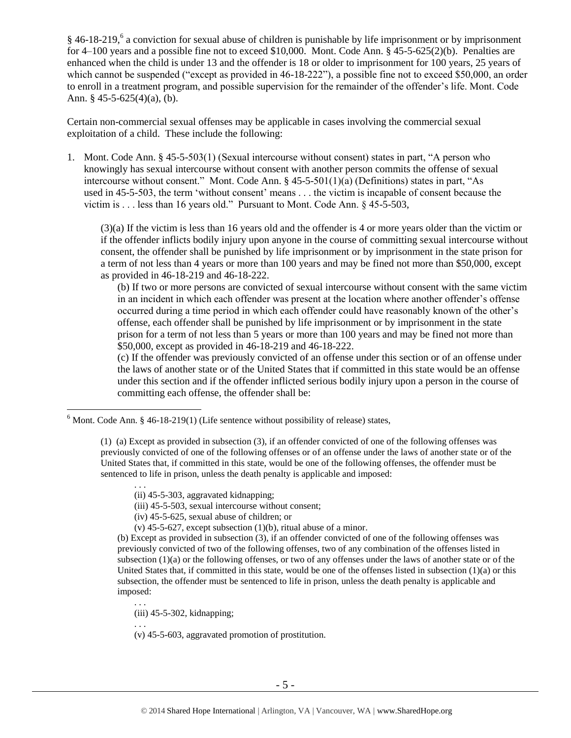<span id="page-4-0"></span> $§$  46-18-219,<sup>6</sup> a conviction for sexual abuse of children is punishable by life imprisonment or by imprisonment for 4–100 years and a possible fine not to exceed \$10,000. Mont. Code Ann. § 45-5-625(2)(b). Penalties are enhanced when the child is under 13 and the offender is 18 or older to imprisonment for 100 years, 25 years of which cannot be suspended ("except as provided in 46-18-222"), a possible fine not to exceed \$50,000, an order to enroll in a treatment program, and possible supervision for the remainder of the offender's life. Mont. Code Ann. § 45-5-625(4)(a), (b).

Certain non-commercial sexual offenses may be applicable in cases involving the commercial sexual exploitation of a child. These include the following:

1. Mont. Code Ann. § 45-5-503(1) (Sexual intercourse without consent) states in part, "A person who knowingly has sexual intercourse without consent with another person commits the offense of sexual intercourse without consent." Mont. Code Ann. § 45-5-501(1)(a) (Definitions) states in part, "As used in 45-5-503, the term 'without consent' means . . . the victim is incapable of consent because the victim is . . . less than 16 years old." Pursuant to Mont. Code Ann. § 45-5-503,

(3)(a) If the victim is less than 16 years old and the offender is 4 or more years older than the victim or if the offender inflicts bodily injury upon anyone in the course of committing sexual intercourse without consent, the offender shall be punished by life imprisonment or by imprisonment in the state prison for a term of not less than 4 years or more than 100 years and may be fined not more than \$50,000, except as provided in 46-18-219 and 46-18-222.

(b) If two or more persons are convicted of sexual intercourse without consent with the same victim in an incident in which each offender was present at the location where another offender's offense occurred during a time period in which each offender could have reasonably known of the other's offense, each offender shall be punished by life imprisonment or by imprisonment in the state prison for a term of not less than 5 years or more than 100 years and may be fined not more than \$50,000, except as provided in [46-18-219](http://data.opi.mt.gov/bills/mca/46/18/46-18-219.htm) and [46-18-222.](http://data.opi.mt.gov/bills/mca/46/18/46-18-222.htm)

(c) If the offender was previously convicted of an offense under this section or of an offense under the laws of another state or of the United States that if committed in this state would be an offense under this section and if the offender inflicted serious bodily injury upon a person in the course of committing each offense, the offender shall be:

(iii) 45-5-503, sexual intercourse without consent;

- (iv) 45-5-625, sexual abuse of children; or
- (v)  $45-5-627$ , except subsection  $(1)(b)$ , ritual abuse of a minor.

(b) Except as provided in subsection (3), if an offender convicted of one of the following offenses was previously convicted of two of the following offenses, two of any combination of the offenses listed in subsection (1)(a) or the following offenses, or two of any offenses under the laws of another state or of the United States that, if committed in this state, would be one of the offenses listed in subsection  $(1)(a)$  or this subsection, the offender must be sentenced to life in prison, unless the death penalty is applicable and imposed:

(iii) 45-5-302, kidnapping;

. . .

 $\overline{a}$ 

(v) 45-5-603, aggravated promotion of prostitution.

 $6$  Mont. Code Ann. § 46-18-219(1) (Life sentence without possibility of release) states,

<sup>(1) (</sup>a) Except as provided in subsection (3), if an offender convicted of one of the following offenses was previously convicted of one of the following offenses or of an offense under the laws of another state or of the United States that, if committed in this state, would be one of the following offenses, the offender must be sentenced to life in prison, unless the death penalty is applicable and imposed:

<sup>. . .</sup>  (ii) 45-5-303, aggravated kidnapping;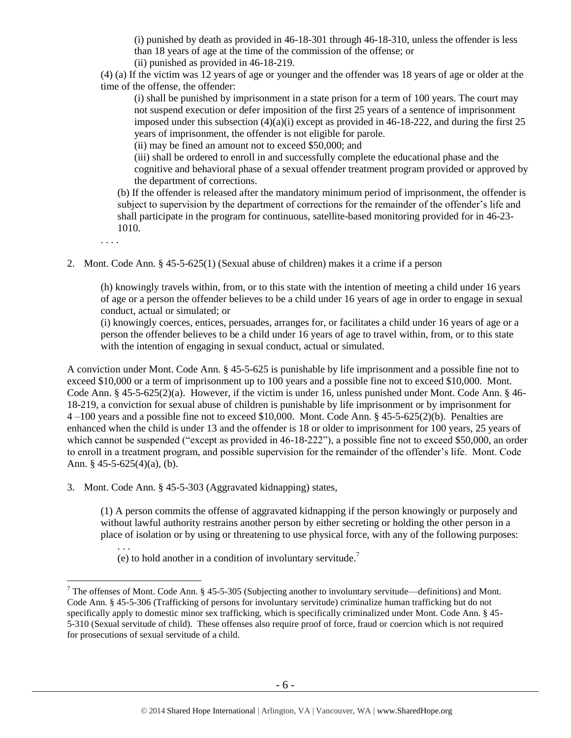(i) punished by death as provided in 46-18-301 through 46-18-310, unless the offender is less than 18 years of age at the time of the commission of the offense; or (ii) punished as provided in 46-18-219.

(4) (a) If the victim was 12 years of age or younger and the offender was 18 years of age or older at the time of the offense, the offender:

(i) shall be punished by imprisonment in a state prison for a term of 100 years. The court may not suspend execution or defer imposition of the first 25 years of a sentence of imprisonment imposed under this subsection  $(4)(a)(i)$  except as provided in 46-18-222, and during the first 25 years of imprisonment, the offender is not eligible for parole.

(ii) may be fined an amount not to exceed \$50,000; and

(iii) shall be ordered to enroll in and successfully complete the educational phase and the cognitive and behavioral phase of a sexual offender treatment program provided or approved by the department of corrections.

(b) If the offender is released after the mandatory minimum period of imprisonment, the offender is subject to supervision by the department of corrections for the remainder of the offender's life and shall participate in the program for continuous, satellite-based monitoring provided for in [46-23-](http://data.opi.mt.gov/bills/mca/46/23/46-23-1010.htm) [1010.](http://data.opi.mt.gov/bills/mca/46/23/46-23-1010.htm)

. . . .

 $\overline{a}$ 

2. Mont. Code Ann. § 45-5-625(1) (Sexual abuse of children) makes it a crime if a person

(h) knowingly travels within, from, or to this state with the intention of meeting a child under 16 years of age or a person the offender believes to be a child under 16 years of age in order to engage in sexual conduct, actual or simulated; or

(i) knowingly coerces, entices, persuades, arranges for, or facilitates a child under 16 years of age or a person the offender believes to be a child under 16 years of age to travel within, from, or to this state with the intention of engaging in sexual conduct, actual or simulated.

A conviction under Mont. Code Ann. § 45-5-625 is punishable by life imprisonment and a possible fine not to exceed \$10,000 or a term of imprisonment up to 100 years and a possible fine not to exceed \$10,000. Mont. Code Ann. § 45-5-625(2)(a). However, if the victim is under 16, unless punished under Mont. Code Ann. § 46- 18-219, a conviction for sexual abuse of children is punishable by life imprisonment or by imprisonment for 4 –100 years and a possible fine not to exceed \$10,000. Mont. Code Ann. § 45-5-625(2)(b). Penalties are enhanced when the child is under 13 and the offender is 18 or older to imprisonment for 100 years, 25 years of which cannot be suspended ("except as provided in 46-18-222"), a possible fine not to exceed \$50,000, an order to enroll in a treatment program, and possible supervision for the remainder of the offender's life. Mont. Code Ann. § 45-5-625(4)(a), (b).

3. Mont. Code Ann. § 45-5-303 (Aggravated kidnapping) states,

(1) A person commits the offense of aggravated kidnapping if the person knowingly or purposely and without lawful authority restrains another person by either secreting or holding the other person in a place of isolation or by using or threatening to use physical force, with any of the following purposes:

. . . (e) to hold another in a condition of involuntary servitude.<sup>7</sup>

<sup>&</sup>lt;sup>7</sup> The offenses of Mont. Code Ann. § 45-5-305 (Subjecting another to involuntary servitude—definitions) and Mont. Code Ann. § 45-5-306 (Trafficking of persons for involuntary servitude) criminalize human trafficking but do not specifically apply to domestic minor sex trafficking, which is specifically criminalized under Mont. Code Ann. § 45- 5-310 (Sexual servitude of child). These offenses also require proof of force, fraud or coercion which is not required for prosecutions of sexual servitude of a child.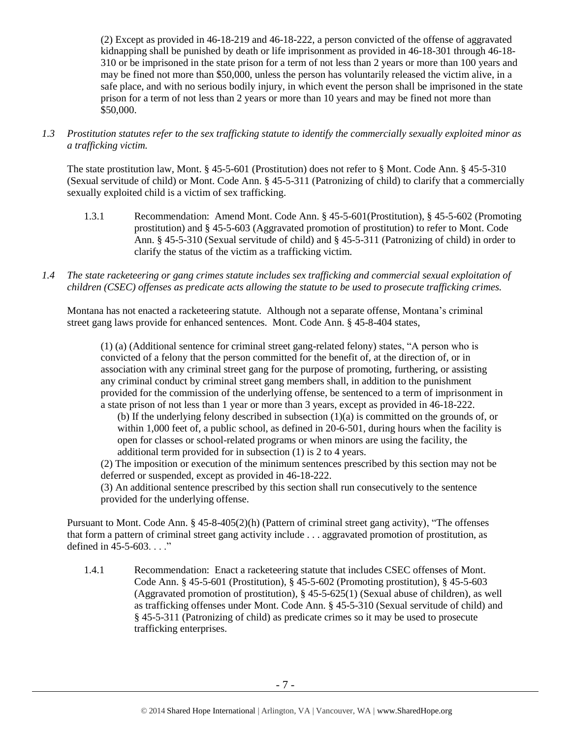(2) Except as provided in 46-18-219 and 46-18-222, a person convicted of the offense of aggravated kidnapping shall be punished by death or life imprisonment as provided in 46-18-301 through 46-18- 310 or be imprisoned in the state prison for a term of not less than 2 years or more than 100 years and may be fined not more than \$50,000, unless the person has voluntarily released the victim alive, in a safe place, and with no serious bodily injury, in which event the person shall be imprisoned in the state prison for a term of not less than 2 years or more than 10 years and may be fined not more than \$50,000.

*1.3 Prostitution statutes refer to the sex trafficking statute to identify the commercially sexually exploited minor as a trafficking victim.* 

The state prostitution law, Mont. § 45-5-601 (Prostitution) does not refer to § Mont. Code Ann. § 45-5-310 (Sexual servitude of child) or Mont. Code Ann. § 45-5-311 (Patronizing of child) to clarify that a commercially sexually exploited child is a victim of sex trafficking.

- 1.3.1 Recommendation: Amend Mont. Code Ann. § 45-5-601(Prostitution), § 45-5-602 (Promoting prostitution) and § 45-5-603 (Aggravated promotion of prostitution) to refer to Mont. Code Ann. § 45-5-310 (Sexual servitude of child) and § 45-5-311 (Patronizing of child) in order to clarify the status of the victim as a trafficking victim.
- *1.4 The state racketeering or gang crimes statute includes sex trafficking and commercial sexual exploitation of children (CSEC) offenses as predicate acts allowing the statute to be used to prosecute trafficking crimes.*

Montana has not enacted a racketeering statute. Although not a separate offense, Montana's criminal street gang laws provide for enhanced sentences. Mont. Code Ann. § 45-8-404 states,

(1) (a) (Additional sentence for criminal street gang-related felony) states, "A person who is convicted of a felony that the person committed for the benefit of, at the direction of, or in association with any criminal street gang for the purpose of promoting, furthering, or assisting any criminal conduct by criminal street gang members shall, in addition to the punishment provided for the commission of the underlying offense, be sentenced to a term of imprisonment in a state prison of not less than 1 year or more than 3 years, except as provided in 46-18-222.

(b) If the underlying felony described in subsection (1)(a) is committed on the grounds of, or within 1,000 feet of, a public school, as defined in 20-6-501, during hours when the facility is open for classes or school-related programs or when minors are using the facility, the additional term provided for in subsection (1) is 2 to 4 years.

(2) The imposition or execution of the minimum sentences prescribed by this section may not be deferred or suspended, except as provided in 46-18-222.

(3) An additional sentence prescribed by this section shall run consecutively to the sentence provided for the underlying offense.

Pursuant to Mont. Code Ann. § 45-8-405(2)(h) (Pattern of criminal street gang activity), "The offenses that form a pattern of criminal street gang activity include . . . aggravated promotion of prostitution, as defined in  $45-5-603...$ "

1.4.1 Recommendation: Enact a racketeering statute that includes CSEC offenses of Mont. Code Ann. § 45-5-601 (Prostitution), § 45-5-602 (Promoting prostitution), § 45-5-603 (Aggravated promotion of prostitution), § 45-5-625(1) (Sexual abuse of children), as well as trafficking offenses under Mont. Code Ann. § 45-5-310 (Sexual servitude of child) and § 45-5-311 (Patronizing of child) as predicate crimes so it may be used to prosecute trafficking enterprises.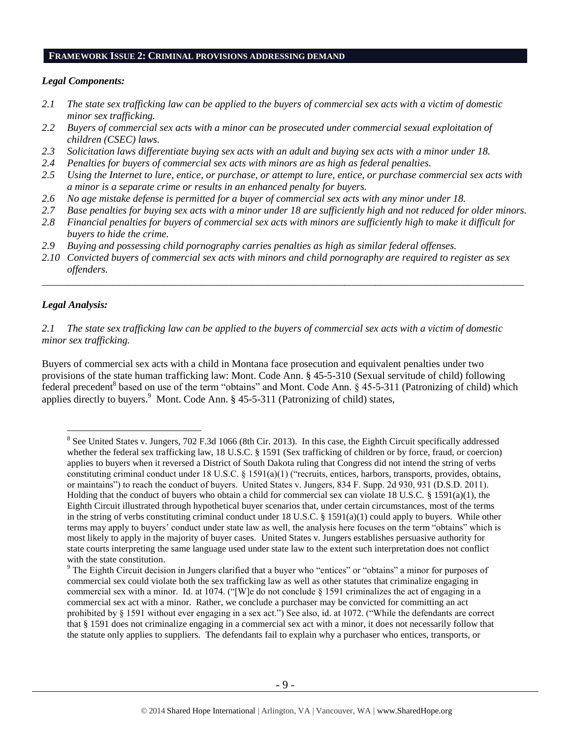## **FRAMEWORK ISSUE 2: CRIMINAL PROVISIONS ADDRESSING DEMAND**

## *Legal Components:*

- *2.1 The state sex trafficking law can be applied to the buyers of commercial sex acts with a victim of domestic minor sex trafficking.*
- *2.2 Buyers of commercial sex acts with a minor can be prosecuted under commercial sexual exploitation of children (CSEC) laws.*
- *2.3 Solicitation laws differentiate buying sex acts with an adult and buying sex acts with a minor under 18.*
- *2.4 Penalties for buyers of commercial sex acts with minors are as high as federal penalties.*
- *2.5 Using the Internet to lure, entice, or purchase, or attempt to lure, entice, or purchase commercial sex acts with a minor is a separate crime or results in an enhanced penalty for buyers.*
- *2.6 No age mistake defense is permitted for a buyer of commercial sex acts with any minor under 18.*
- *2.7 Base penalties for buying sex acts with a minor under 18 are sufficiently high and not reduced for older minors.*
- *2.8 Financial penalties for buyers of commercial sex acts with minors are sufficiently high to make it difficult for buyers to hide the crime.*
- *2.9 Buying and possessing child pornography carries penalties as high as similar federal offenses.*
- *2.10 Convicted buyers of commercial sex acts with minors and child pornography are required to register as sex offenders.*

\_\_\_\_\_\_\_\_\_\_\_\_\_\_\_\_\_\_\_\_\_\_\_\_\_\_\_\_\_\_\_\_\_\_\_\_\_\_\_\_\_\_\_\_\_\_\_\_\_\_\_\_\_\_\_\_\_\_\_\_\_\_\_\_\_\_\_\_\_\_\_\_\_\_\_\_\_\_\_\_\_\_\_\_\_\_\_\_\_\_\_\_\_\_

## *Legal Analysis:*

 $\overline{a}$ 

*2.1 The state sex trafficking law can be applied to the buyers of commercial sex acts with a victim of domestic minor sex trafficking.*

Buyers of commercial sex acts with a child in Montana face prosecution and equivalent penalties under two provisions of the state human trafficking law: Mont. Code Ann. § 45-5-310 (Sexual servitude of child) following  $\frac{1}{2}$  federal precedent<sup>8</sup> based on use of the term "obtains" and Mont. Code Ann. § 45-5-311 (Patronizing of child) which applies directly to buyers.<sup>9</sup> Mont. Code Ann. § 45-5-311 (Patronizing of child) states,

<sup>&</sup>lt;sup>8</sup> See United States v. Jungers, 702 F.3d 1066 (8th Cir. 2013). In this case, the Eighth Circuit specifically addressed whether the federal sex trafficking law, 18 U.S.C. § 1591 (Sex trafficking of children or by force, fraud, or coercion) applies to buyers when it reversed a District of South Dakota ruling that Congress did not intend the string of verbs constituting criminal conduct under 18 U.S.C. § 1591(a)(1) ("recruits, entices, harbors, transports, provides, obtains, or maintains") to reach the conduct of buyers. United States v. Jungers, 834 F. Supp. 2d 930, 931 (D.S.D. 2011). Holding that the conduct of buyers who obtain a child for commercial sex can violate 18 U.S.C. § 1591(a)(1), the Eighth Circuit illustrated through hypothetical buyer scenarios that, under certain circumstances, most of the terms in the string of verbs constituting criminal conduct under 18 U.S.C. § 1591(a)(1) could apply to buyers. While other terms may apply to buyers' conduct under state law as well, the analysis here focuses on the term "obtains" which is most likely to apply in the majority of buyer cases. United States v. Jungers establishes persuasive authority for state courts interpreting the same language used under state law to the extent such interpretation does not conflict with the state constitution.

<sup>&</sup>lt;sup>9</sup> The Eighth Circuit decision in Jungers clarified that a buyer who "entices" or "obtains" a minor for purposes of commercial sex could violate both the sex trafficking law as well as other statutes that criminalize engaging in commercial sex with a minor. Id. at 1074. ("[W]e do not conclude § 1591 criminalizes the act of engaging in a commercial sex act with a minor. Rather, we conclude a purchaser may be convicted for committing an act prohibited by § 1591 without ever engaging in a sex act.") See also, id. at 1072. ("While the defendants are correct that § 1591 does not criminalize engaging in a commercial sex act with a minor, it does not necessarily follow that the statute only applies to suppliers. The defendants fail to explain why a purchaser who entices, transports, or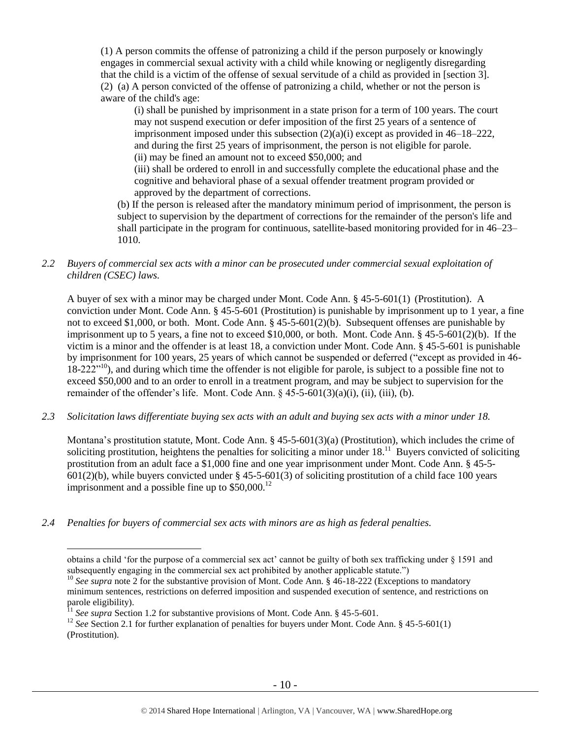(1) A person commits the offense of patronizing a child if the person purposely or knowingly engages in commercial sexual activity with a child while knowing or negligently disregarding that the child is a victim of the offense of sexual servitude of a child as provided in [section 3]. (2) (a) A person convicted of the offense of patronizing a child, whether or not the person is aware of the child's age:

(i) shall be punished by imprisonment in a state prison for a term of 100 years. The court may not suspend execution or defer imposition of the first 25 years of a sentence of imprisonment imposed under this subsection (2)(a)(i) except as provided in 46–18–222, and during the first 25 years of imprisonment, the person is not eligible for parole. (ii) may be fined an amount not to exceed \$50,000; and

(iii) shall be ordered to enroll in and successfully complete the educational phase and the cognitive and behavioral phase of a sexual offender treatment program provided or approved by the department of corrections.

(b) If the person is released after the mandatory minimum period of imprisonment, the person is subject to supervision by the department of corrections for the remainder of the person's life and shall participate in the program for continuous, satellite-based monitoring provided for in 46–23– 1010.

*2.2 Buyers of commercial sex acts with a minor can be prosecuted under commercial sexual exploitation of children (CSEC) laws.*

A buyer of sex with a minor may be charged under Mont. Code Ann. § 45-5-601(1) (Prostitution). A conviction under Mont. Code Ann. § 45-5-601 (Prostitution) is punishable by imprisonment up to 1 year, a fine not to exceed \$1,000, or both. Mont. Code Ann. § 45-5-601(2)(b). Subsequent offenses are punishable by imprisonment up to 5 years, a fine not to exceed \$10,000, or both. Mont. Code Ann. § 45-5-601(2)(b). If the victim is a minor and the offender is at least 18, a conviction under Mont. Code Ann. § 45-5-601 is punishable by imprisonment for 100 years, 25 years of which cannot be suspended or deferred ("except as provided in 46- 18-222<sup>"10</sup>), and during which time the offender is not eligible for parole, is subject to a possible fine not to exceed \$50,000 and to an order to enroll in a treatment program, and may be subject to supervision for the remainder of the offender's life. Mont. Code Ann.  $\frac{6}{5}$  45-5-601(3)(a)(i), (ii), (iii), (b).

*2.3 Solicitation laws differentiate buying sex acts with an adult and buying sex acts with a minor under 18.*

Montana's prostitution statute, Mont. Code Ann. § 45-5-601(3)(a) (Prostitution), which includes the crime of soliciting prostitution, heightens the penalties for soliciting a minor under  $18<sup>11</sup>$  Buyers convicted of soliciting prostitution from an adult face a \$1,000 fine and one year imprisonment under Mont. Code Ann. § 45-5-  $601(2)(b)$ , while buyers convicted under § 45-5-601(3) of soliciting prostitution of a child face 100 years imprisonment and a possible fine up to  $$50,000$ <sup>12</sup>

*2.4 Penalties for buyers of commercial sex acts with minors are as high as federal penalties.*

 $\overline{a}$ 

obtains a child 'for the purpose of a commercial sex act' cannot be guilty of both sex trafficking under § 1591 and subsequently engaging in the commercial sex act prohibited by another applicable statute.")

<sup>&</sup>lt;sup>10</sup> See supra note [2](#page-2-0) for the substantive provision of Mont. Code Ann. § 46-18-222 (Exceptions to mandatory minimum sentences, restrictions on deferred imposition and suspended execution of sentence, and restrictions on parole eligibility).

<sup>&</sup>lt;sup>11</sup> See supra Section 1.2 for substantive provisions of Mont. Code Ann. § 45-5-601.

<sup>&</sup>lt;sup>12</sup> *See* Section 2.1 for further explanation of penalties for buyers under Mont. Code Ann. § 45-5-601(1) (Prostitution).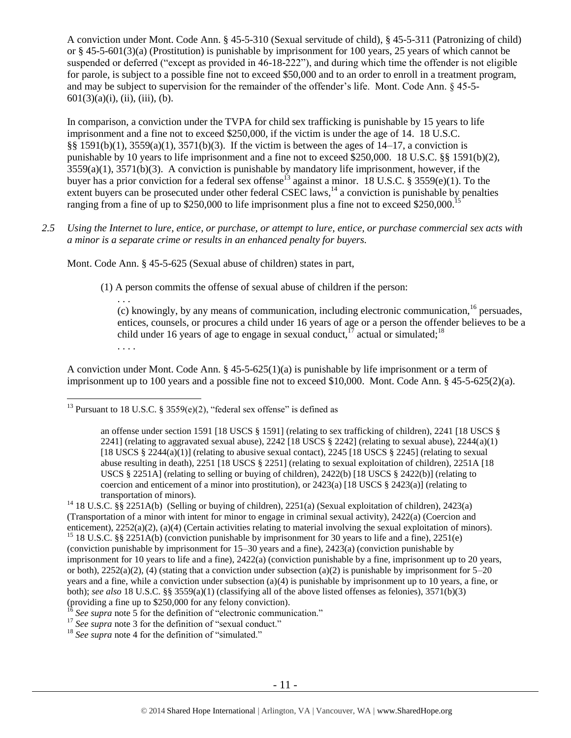A conviction under Mont. Code Ann. § 45-5-310 (Sexual servitude of child), § 45-5-311 (Patronizing of child) or § 45-5-601(3)(a) (Prostitution) is punishable by imprisonment for 100 years, 25 years of which cannot be suspended or deferred ("except as provided in 46-18-222"), and during which time the offender is not eligible for parole, is subject to a possible fine not to exceed \$50,000 and to an order to enroll in a treatment program, and may be subject to supervision for the remainder of the offender's life. Mont. Code Ann. § 45-5-  $601(3)(a)(i)$ , (ii), (iii), (b).

In comparison, a conviction under the TVPA for child sex trafficking is punishable by 15 years to life imprisonment and a fine not to exceed \$250,000, if the victim is under the age of 14. 18 U.S.C. §§ 1591(b)(1), 3559(a)(1), 3571(b)(3). If the victim is between the ages of 14–17, a conviction is punishable by 10 years to life imprisonment and a fine not to exceed \$250,000. 18 U.S.C. §§ 1591(b)(2), 3559(a)(1), 3571(b)(3). A conviction is punishable by mandatory life imprisonment, however, if the buyer has a prior conviction for a federal sex offense<sup>13</sup> against a minor. 18 U.S.C. § 3559(e)(1). To the extent buyers can be prosecuted under other federal CSEC laws,<sup>14</sup> a conviction is punishable by penalties ranging from a fine of up to \$250,000 to life imprisonment plus a fine not to exceed \$250,000.<sup>15</sup>

*2.5 Using the Internet to lure, entice, or purchase, or attempt to lure, entice, or purchase commercial sex acts with a minor is a separate crime or results in an enhanced penalty for buyers.*

Mont. Code Ann. § 45-5-625 (Sexual abuse of children) states in part,

(1) A person commits the offense of sexual abuse of children if the person:

<span id="page-10-0"></span>. . . (c) knowingly, by any means of communication, including electronic communication,  $^{16}$  persuades, entices, counsels, or procures a child under 16 years of age or a person the offender believes to be a child under 16 years of age to engage in sexual conduct,<sup>17</sup> actual or simulated;<sup>18</sup> . . . .

A conviction under Mont. Code Ann. § 45-5-625(1)(a) is punishable by life imprisonment or a term of imprisonment up to 100 years and a possible fine not to exceed \$10,000. Mont. Code Ann. § 45-5-625(2)(a).

<sup>13</sup> Pursuant to 18 U.S.C. § 3559(e)(2), "federal sex offense" is defined as

 $\overline{a}$ 

<sup>16</sup> See supra note [5](#page-3-0) for the definition of "electronic communication."

<sup>17</sup> See supra note [3](#page-3-1) for the definition of "sexual conduct."

<sup>18</sup> *See supra* note [4](#page-3-2) for the definition of "simulated."

an offense under section 1591 [18 USCS § 1591] (relating to sex trafficking of children), 2241 [18 USCS § 2241] (relating to aggravated sexual abuse), 2242 [18 USCS  $\S$  2242] (relating to sexual abuse), 2244(a)(1) [18 USCS § 2244(a)(1)] (relating to abusive sexual contact), 2245 [18 USCS § 2245] (relating to sexual abuse resulting in death), 2251 [18 USCS § 2251] (relating to sexual exploitation of children), 2251A [18 USCS § 2251A] (relating to selling or buying of children), 2422(b) [18 USCS § 2422(b)] (relating to coercion and enticement of a minor into prostitution), or 2423(a) [18 USCS § 2423(a)] (relating to transportation of minors).

<sup>&</sup>lt;sup>14</sup> 18 U.S.C. §§ 2251A(b) (Selling or buying of children), 2251(a) (Sexual exploitation of children), 2423(a) (Transportation of a minor with intent for minor to engage in criminal sexual activity), 2422(a) (Coercion and enticement), 2252(a)(2), (a)(4) (Certain activities relating to material involving the sexual exploitation of minors).

<sup>&</sup>lt;sup>15</sup> 18 U.S.C. §§ 2251A(b) (conviction punishable by imprisonment for 30 years to life and a fine), 2251(e) (conviction punishable by imprisonment for 15–30 years and a fine), 2423(a) (conviction punishable by imprisonment for 10 years to life and a fine), 2422(a) (conviction punishable by a fine, imprisonment up to 20 years, or both),  $2252(a)(2)$ , (4) (stating that a conviction under subsection (a)(2) is punishable by imprisonment for  $5-20$ years and a fine, while a conviction under subsection (a)(4) is punishable by imprisonment up to 10 years, a fine, or both); *see also* 18 U.S.C. §§ 3559(a)(1) (classifying all of the above listed offenses as felonies), 3571(b)(3) (providing a fine up to \$250,000 for any felony conviction).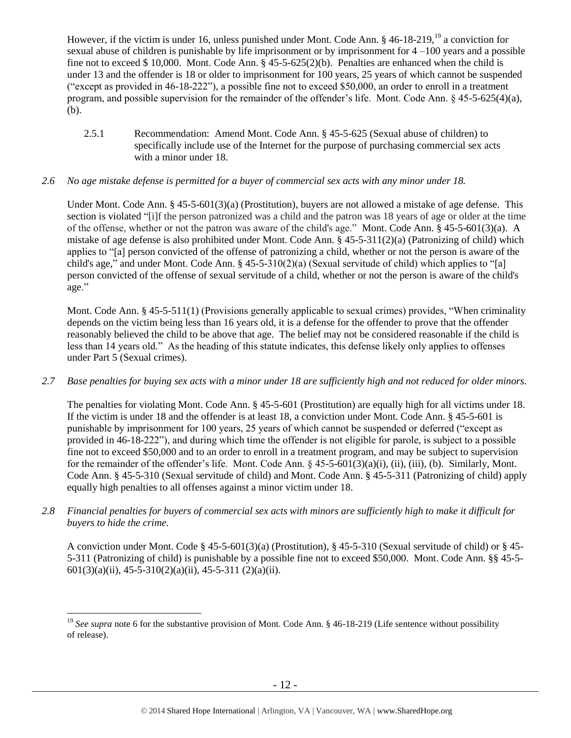However, if the victim is under 16, unless punished under Mont. Code Ann. § 46-18-219, <sup>19</sup> a conviction for sexual abuse of children is punishable by life imprisonment or by imprisonment for 4 –100 years and a possible fine not to exceed \$ 10,000. Mont. Code Ann. § 45-5-625(2)(b). Penalties are enhanced when the child is under 13 and the offender is 18 or older to imprisonment for 100 years, 25 years of which cannot be suspended ("except as provided in 46-18-222"), a possible fine not to exceed \$50,000, an order to enroll in a treatment program, and possible supervision for the remainder of the offender's life. Mont. Code Ann. § 45-5-625(4)(a), (b).

2.5.1 Recommendation: Amend Mont. Code Ann. § 45-5-625 (Sexual abuse of children) to specifically include use of the Internet for the purpose of purchasing commercial sex acts with a minor under 18.

## *2.6 No age mistake defense is permitted for a buyer of commercial sex acts with any minor under 18.*

Under Mont. Code Ann. § 45-5-601(3)(a) (Prostitution), buyers are not allowed a mistake of age defense. This section is violated "[i]f the person patronized was a child and the patron was 18 years of age or older at the time of the offense, whether or not the patron was aware of the child's age." Mont. Code Ann. § 45-5-601(3)(a). A mistake of age defense is also prohibited under Mont. Code Ann. § 45-5-311(2)(a) (Patronizing of child) which applies to "[a] person convicted of the offense of patronizing a child, whether or not the person is aware of the child's age," and under Mont. Code Ann. § 45-5-310(2)(a) (Sexual servitude of child) which applies to "[a] person convicted of the offense of sexual servitude of a child, whether or not the person is aware of the child's age."

Mont. Code Ann. § 45-5-511(1) (Provisions generally applicable to sexual crimes) provides, "When criminality depends on the victim being less than 16 years old, it is a defense for the offender to prove that the offender reasonably believed the child to be above that age. The belief may not be considered reasonable if the child is less than 14 years old." As the heading of this statute indicates, this defense likely only applies to offenses under Part 5 (Sexual crimes).

*2.7 Base penalties for buying sex acts with a minor under 18 are sufficiently high and not reduced for older minors.*

The penalties for violating Mont. Code Ann. § 45-5-601 (Prostitution) are equally high for all victims under 18. If the victim is under 18 and the offender is at least 18, a conviction under Mont. Code Ann. § 45-5-601 is punishable by imprisonment for 100 years, 25 years of which cannot be suspended or deferred ("except as provided in 46-18-222"), and during which time the offender is not eligible for parole, is subject to a possible fine not to exceed \$50,000 and to an order to enroll in a treatment program, and may be subject to supervision for the remainder of the offender's life. Mont. Code Ann.  $\S$  45-5-601(3)(a)(i), (ii), (iii), (b). Similarly, Mont. Code Ann. § 45-5-310 (Sexual servitude of child) and Mont. Code Ann. § 45-5-311 (Patronizing of child) apply equally high penalties to all offenses against a minor victim under 18.

*2.8 Financial penalties for buyers of commercial sex acts with minors are sufficiently high to make it difficult for buyers to hide the crime.* 

A conviction under Mont. Code § 45-5-601(3)(a) (Prostitution), § 45-5-310 (Sexual servitude of child) or § 45- 5-311 (Patronizing of child) is punishable by a possible fine not to exceed \$50,000. Mont. Code Ann. §§ 45-5-  $601(3)(a)(ii)$ ,  $45-5-310(2)(a)(ii)$ ,  $45-5-311(2)(a)(ii)$ .

 $\overline{a}$ 

<sup>&</sup>lt;sup>19</sup> See supra note [6](#page-4-0) for the substantive provision of Mont. Code Ann. § 46-18-219 (Life sentence without possibility of release).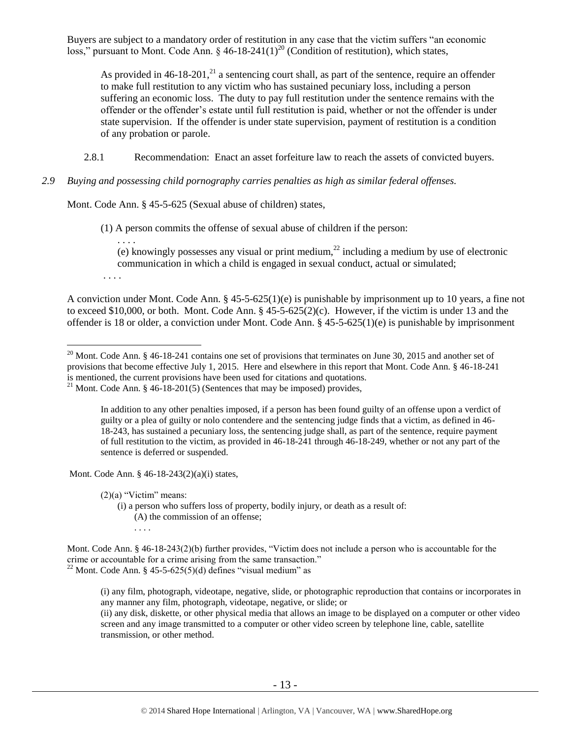Buyers are subject to a mandatory order of restitution in any case that the victim suffers "an economic loss," pursuant to Mont. Code Ann.  $\S$  46-18-241(1)<sup>20</sup> (Condition of restitution), which states,

<span id="page-12-0"></span>As provided in  $46-18-201$ ,<sup>21</sup> a sentencing court shall, as part of the sentence, require an offender to make full restitution to any victim who has sustained pecuniary loss, including a person suffering an economic loss. The duty to pay full restitution under the sentence remains with the offender or the offender's estate until full restitution is paid, whether or not the offender is under state supervision. If the offender is under state supervision, payment of restitution is a condition of any probation or parole.

2.8.1 Recommendation: Enact an asset forfeiture law to reach the assets of convicted buyers.

## *2.9 Buying and possessing child pornography carries penalties as high as similar federal offenses.*

Mont. Code Ann. § 45-5-625 (Sexual abuse of children) states,

(1) A person commits the offense of sexual abuse of children if the person:

. . . . (e) knowingly possesses any visual or print medium,<sup>22</sup> including a medium by use of electronic communication in which a child is engaged in sexual conduct, actual or simulated;

. . . .

 $\overline{a}$ 

A conviction under Mont. Code Ann. § 45-5-625(1)(e) is punishable by imprisonment up to 10 years, a fine not to exceed \$10,000, or both. Mont. Code Ann. § 45-5-625(2)(c). However, if the victim is under 13 and the offender is 18 or older, a conviction under Mont. Code Ann. §  $45-5-625(1)(e)$  is punishable by imprisonment

In addition to any other penalties imposed, if a person has been found guilty of an offense upon a verdict of guilty or a plea of guilty or nolo contendere and the sentencing judge finds that a victim, as defined in 46- 18-243, has sustained a pecuniary loss, the sentencing judge shall, as part of the sentence, require payment of full restitution to the victim, as provided in 46-18-241 through 46-18-249, whether or not any part of the sentence is deferred or suspended.

Mont. Code Ann. § 46-18-243(2)(a)(i) states,

 $(2)(a)$  "Victim" means:

(i) a person who suffers loss of property, bodily injury, or death as a result of: (A) the commission of an offense; . . . .

<sup>&</sup>lt;sup>20</sup> Mont. Code Ann. § 46-18-241 contains one set of provisions that terminates on June 30, 2015 and another set of provisions that become effective July 1, 2015. Here and elsewhere in this report that Mont. Code Ann. § 46-18-241 is mentioned, the current provisions have been used for citations and quotations.

<sup>&</sup>lt;sup>21</sup> Mont. Code Ann. § 46-18-201(5) (Sentences that may be imposed) provides,

Mont. Code Ann. § 46-18-243(2)(b) further provides, "Victim does not include a person who is accountable for the crime or accountable for a crime arising from the same transaction." <sup>22</sup> Mont. Code Ann. § 45-5-625(5)(d) defines "visual medium" as

<sup>(</sup>i) any film, photograph, videotape, negative, slide, or photographic reproduction that contains or incorporates in any manner any film, photograph, videotape, negative, or slide; or

<sup>(</sup>ii) any disk, diskette, or other physical media that allows an image to be displayed on a computer or other video screen and any image transmitted to a computer or other video screen by telephone line, cable, satellite transmission, or other method.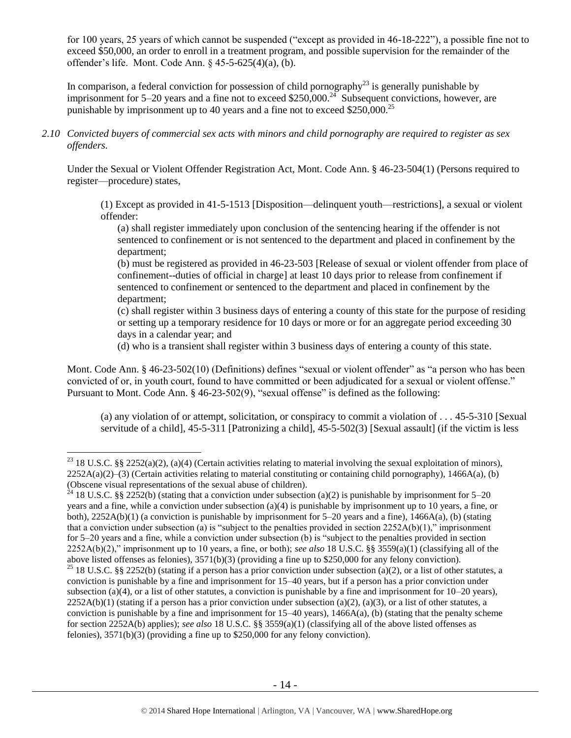for 100 years, 25 years of which cannot be suspended ("except as provided in 46-18-222"), a possible fine not to exceed \$50,000, an order to enroll in a treatment program, and possible supervision for the remainder of the offender's life. Mont. Code Ann. § 45-5-625(4)(a), (b).

In comparison, a federal conviction for possession of child pornography<sup>23</sup> is generally punishable by imprisonment for 5–20 years and a fine not to exceed \$250,000.<sup>24</sup> Subsequent convictions, however, are punishable by imprisonment up to 40 years and a fine not to exceed  $$250,000.<sup>25</sup>$ 

*2.10 Convicted buyers of commercial sex acts with minors and child pornography are required to register as sex offenders.* 

Under the Sexual or Violent Offender Registration Act, Mont. Code Ann. § 46-23-504(1) (Persons required to register—procedure) states,

(1) Except as provided in 41-5-1513 [Disposition—delinquent youth—restrictions], a sexual or violent offender:

(a) shall register immediately upon conclusion of the sentencing hearing if the offender is not sentenced to confinement or is not sentenced to the department and placed in confinement by the department;

(b) must be registered as provided in 46-23-503 [Release of sexual or violent offender from place of confinement--duties of official in charge] at least 10 days prior to release from confinement if sentenced to confinement or sentenced to the department and placed in confinement by the department;

(c) shall register within 3 business days of entering a county of this state for the purpose of residing or setting up a temporary residence for 10 days or more or for an aggregate period exceeding 30 days in a calendar year; and

(d) who is a transient shall register within 3 business days of entering a county of this state.

Mont. Code Ann. § 46-23-502(10) (Definitions) defines "sexual or violent offender" as "a person who has been convicted of or, in youth court, found to have committed or been adjudicated for a sexual or violent offense." Pursuant to Mont. Code Ann. § 46-23-502(9), "sexual offense" is defined as the following:

(a) any violation of or attempt, solicitation, or conspiracy to commit a violation of . . . 45-5-310 [Sexual servitude of a child], 45-5-311 [Patronizing a child], 45-5-502(3) [Sexual assault] (if the victim is less

 $\overline{a}$ 

<sup>&</sup>lt;sup>23</sup> 18 U.S.C. §§ 2252(a)(2), (a)(4) (Certain activities relating to material involving the sexual exploitation of minors),  $2252A(a)(2)$ –(3) (Certain activities relating to material constituting or containing child pornography), 1466A(a), (b) (Obscene visual representations of the sexual abuse of children).

<sup>&</sup>lt;sup>24</sup> 18 U.S.C. §§ 2252(b) (stating that a conviction under subsection (a)(2) is punishable by imprisonment for 5–20 years and a fine, while a conviction under subsection (a)(4) is punishable by imprisonment up to 10 years, a fine, or both),  $2252A(b)(1)$  (a conviction is punishable by imprisonment for 5–20 years and a fine),  $1466A(a)$ , (b) (stating that a conviction under subsection (a) is "subject to the penalties provided in section  $2252A(b)(1)$ ," imprisonment for 5–20 years and a fine, while a conviction under subsection (b) is "subject to the penalties provided in section 2252A(b)(2)," imprisonment up to 10 years, a fine, or both); *see also* 18 U.S.C. §§ 3559(a)(1) (classifying all of the above listed offenses as felonies), 3571(b)(3) (providing a fine up to \$250,000 for any felony conviction).

<sup>&</sup>lt;sup>25</sup> 18 U.S.C. §§ 2252(b) (stating if a person has a prior conviction under subsection (a)(2), or a list of other statutes, a conviction is punishable by a fine and imprisonment for 15–40 years, but if a person has a prior conviction under subsection (a)(4), or a list of other statutes, a conviction is punishable by a fine and imprisonment for  $10-20$  years),  $2252A(b)(1)$  (stating if a person has a prior conviction under subsection (a)(2), (a)(3), or a list of other statutes, a conviction is punishable by a fine and imprisonment for  $15-40$  years),  $1466A(a)$ , (b) (stating that the penalty scheme for section 2252A(b) applies); *see also* 18 U.S.C. §§ 3559(a)(1) (classifying all of the above listed offenses as felonies), 3571(b)(3) (providing a fine up to \$250,000 for any felony conviction).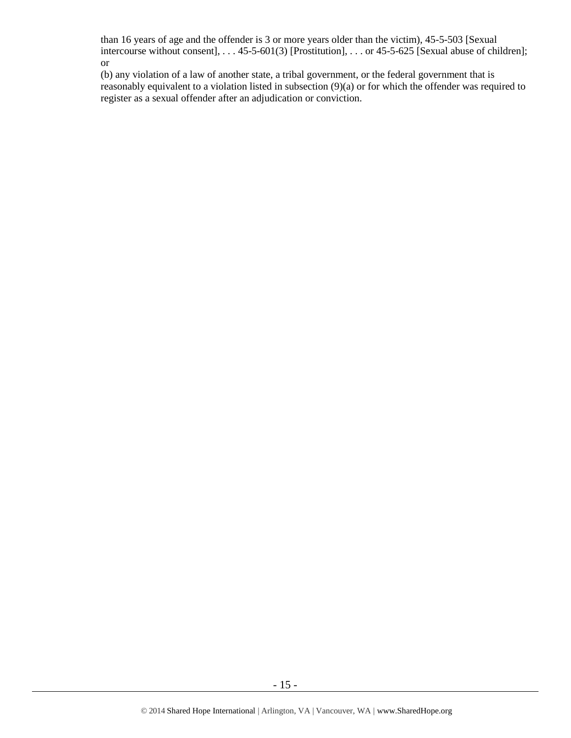than 16 years of age and the offender is 3 or more years older than the victim), 45-5-503 [Sexual intercourse without consent], . . . 45-5-601(3) [Prostitution], . . . or 45-5-625 [Sexual abuse of children]; or

(b) any violation of a law of another state, a tribal government, or the federal government that is reasonably equivalent to a violation listed in subsection (9)(a) or for which the offender was required to register as a sexual offender after an adjudication or conviction.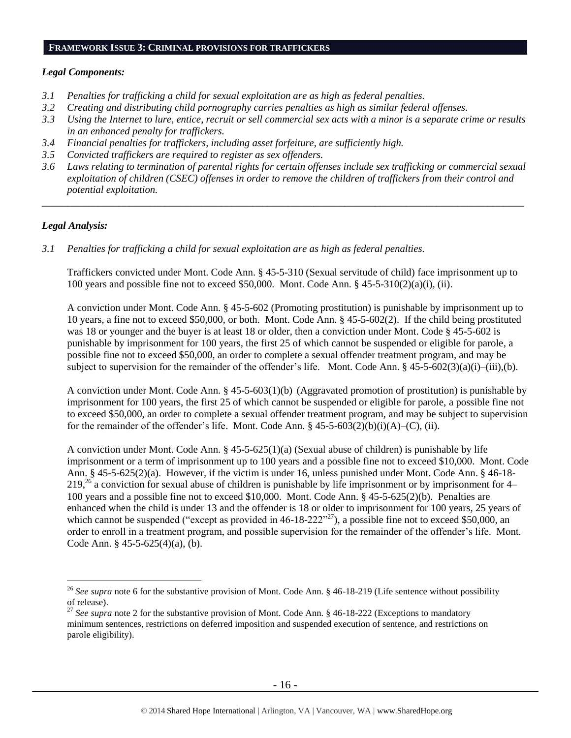## **FRAMEWORK ISSUE 3: CRIMINAL PROVISIONS FOR TRAFFICKERS**

## *Legal Components:*

- *3.1 Penalties for trafficking a child for sexual exploitation are as high as federal penalties.*
- *3.2 Creating and distributing child pornography carries penalties as high as similar federal offenses.*
- *3.3 Using the Internet to lure, entice, recruit or sell commercial sex acts with a minor is a separate crime or results in an enhanced penalty for traffickers.*
- *3.4 Financial penalties for traffickers, including asset forfeiture, are sufficiently high.*
- *3.5 Convicted traffickers are required to register as sex offenders.*
- *3.6 Laws relating to termination of parental rights for certain offenses include sex trafficking or commercial sexual exploitation of children (CSEC) offenses in order to remove the children of traffickers from their control and potential exploitation.*

*\_\_\_\_\_\_\_\_\_\_\_\_\_\_\_\_\_\_\_\_\_\_\_\_\_\_\_\_\_\_\_\_\_\_\_\_\_\_\_\_\_\_\_\_\_\_\_\_\_\_\_\_\_\_\_\_\_\_\_\_\_\_\_\_\_\_\_\_\_\_\_\_\_\_\_\_\_\_\_\_\_\_\_\_\_\_\_\_\_\_\_\_\_\_*

## *Legal Analysis:*

 $\overline{a}$ 

*3.1 Penalties for trafficking a child for sexual exploitation are as high as federal penalties.* 

Traffickers convicted under Mont. Code Ann. § 45-5-310 (Sexual servitude of child) face imprisonment up to 100 years and possible fine not to exceed \$50,000. Mont. Code Ann. §  $45-5-310(2)(a)(i)$ , (ii).

A conviction under Mont. Code Ann. § 45-5-602 (Promoting prostitution) is punishable by imprisonment up to 10 years, a fine not to exceed \$50,000, or both. Mont. Code Ann. § 45-5-602(2). If the child being prostituted was 18 or younger and the buyer is at least 18 or older, then a conviction under Mont. Code § 45-5-602 is punishable by imprisonment for 100 years, the first 25 of which cannot be suspended or eligible for parole, a possible fine not to exceed \$50,000, an order to complete a sexual offender treatment program, and may be subject to supervision for the remainder of the offender's life. Mont. Code Ann.  $\S$  45-5-602(3)(a)(i)–(iii),(b).

A conviction under Mont. Code Ann. § 45-5-603(1)(b) (Aggravated promotion of prostitution) is punishable by imprisonment for 100 years, the first 25 of which cannot be suspended or eligible for parole, a possible fine not to exceed \$50,000, an order to complete a sexual offender treatment program, and may be subject to supervision for the remainder of the offender's life. Mont. Code Ann.  $\S$  45-5-603(2)(b)(i)(A)–(C), (ii).

A conviction under Mont. Code Ann. § 45-5-625(1)(a) (Sexual abuse of children) is punishable by life imprisonment or a term of imprisonment up to 100 years and a possible fine not to exceed \$10,000. Mont. Code Ann. § 45-5-625(2)(a). However, if the victim is under 16, unless punished under Mont. Code Ann. § 46-18-  $219<sup>26</sup>$  a conviction for sexual abuse of children is punishable by life imprisonment or by imprisonment for 4– 100 years and a possible fine not to exceed \$10,000. Mont. Code Ann. § 45-5-625(2)(b). Penalties are enhanced when the child is under 13 and the offender is 18 or older to imprisonment for 100 years, 25 years of which cannot be suspended ("except as provided in  $46-18-222"^{27}$ ), a possible fine not to exceed \$50,000, an order to enroll in a treatment program, and possible supervision for the remainder of the offender's life. Mont. Code Ann. § 45-5-625(4)(a), (b).

<sup>&</sup>lt;sup>26</sup> See supra note [6](#page-4-0) for the substantive provision of Mont. Code Ann. § 46-18-219 (Life sentence without possibility of release).

<sup>&</sup>lt;sup>27</sup> See supra note [2](#page-2-0) for the substantive provision of Mont. Code Ann. § 46-18-222 (Exceptions to mandatory minimum sentences, restrictions on deferred imposition and suspended execution of sentence, and restrictions on parole eligibility).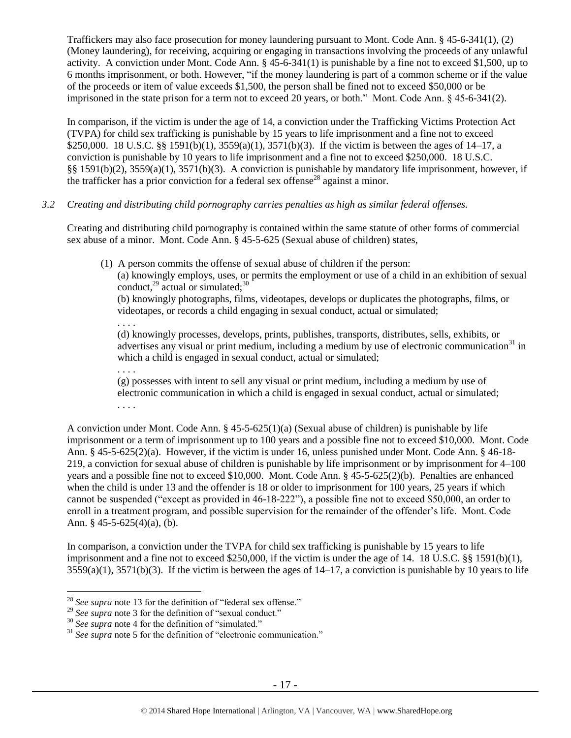Traffickers may also face prosecution for money laundering pursuant to Mont. Code Ann. § 45-6-341(1), (2) (Money laundering), for receiving, acquiring or engaging in transactions involving the proceeds of any unlawful activity. A conviction under Mont. Code Ann. § 45-6-341(1) is punishable by a fine not to exceed \$1,500, up to 6 months imprisonment, or both. However, "if the money laundering is part of a common scheme or if the value of the proceeds or item of value exceeds \$1,500, the person shall be fined not to exceed \$50,000 or be imprisoned in the state prison for a term not to exceed 20 years, or both." Mont. Code Ann. § 45-6-341(2).

In comparison, if the victim is under the age of 14, a conviction under the Trafficking Victims Protection Act (TVPA) for child sex trafficking is punishable by 15 years to life imprisonment and a fine not to exceed \$250,000. 18 U.S.C. §§ 1591(b)(1), 3559(a)(1), 3571(b)(3). If the victim is between the ages of 14–17, a conviction is punishable by 10 years to life imprisonment and a fine not to exceed \$250,000. 18 U.S.C. §§ 1591(b)(2), 3559(a)(1), 3571(b)(3). A conviction is punishable by mandatory life imprisonment, however, if the trafficker has a prior conviction for a federal sex offense<sup>28</sup> against a minor.

## *3.2 Creating and distributing child pornography carries penalties as high as similar federal offenses.*

Creating and distributing child pornography is contained within the same statute of other forms of commercial sex abuse of a minor. Mont. Code Ann. § 45-5-625 (Sexual abuse of children) states,

(1) A person commits the offense of sexual abuse of children if the person:

(a) knowingly employs, uses, or permits the employment or use of a child in an exhibition of sexual conduct, $^{29}$  actual or simulated; $^{30}$ 

(b) knowingly photographs, films, videotapes, develops or duplicates the photographs, films, or videotapes, or records a child engaging in sexual conduct, actual or simulated;

(d) knowingly processes, develops, prints, publishes, transports, distributes, sells, exhibits, or advertises any visual or print medium, including a medium by use of electronic communication<sup>31</sup> in which a child is engaged in sexual conduct, actual or simulated;

. . . . (g) possesses with intent to sell any visual or print medium, including a medium by use of electronic communication in which a child is engaged in sexual conduct, actual or simulated; . . . .

A conviction under Mont. Code Ann. § 45-5-625(1)(a) (Sexual abuse of children) is punishable by life imprisonment or a term of imprisonment up to 100 years and a possible fine not to exceed \$10,000. Mont. Code Ann. § 45-5-625(2)(a). However, if the victim is under 16, unless punished under Mont. Code Ann. § 46-18- 219, a conviction for sexual abuse of children is punishable by life imprisonment or by imprisonment for 4–100 years and a possible fine not to exceed \$10,000. Mont. Code Ann. § 45-5-625(2)(b). Penalties are enhanced when the child is under 13 and the offender is 18 or older to imprisonment for 100 years, 25 years if which cannot be suspended ("except as provided in 46-18-222"), a possible fine not to exceed \$50,000, an order to enroll in a treatment program, and possible supervision for the remainder of the offender's life. Mont. Code Ann. § 45-5-625(4)(a), (b).

In comparison, a conviction under the TVPA for child sex trafficking is punishable by 15 years to life imprisonment and a fine not to exceed \$250,000, if the victim is under the age of 14. 18 U.S.C. §§ 1591(b)(1),  $3559(a)(1)$ ,  $3571(b)(3)$ . If the victim is between the ages of  $14-17$ , a conviction is punishable by 10 years to life

. . . .

 $\overline{a}$ <sup>28</sup> *See supra* note [13](#page-10-0) for the definition of "federal sex offense."

<sup>&</sup>lt;sup>29</sup> See supra note [3](#page-3-1) for the definition of "sexual conduct."

<sup>30</sup> *See supra* note [4](#page-3-2) for the definition of "simulated."

<sup>&</sup>lt;sup>31</sup> See supra note [5](#page-3-0) for the definition of "electronic communication."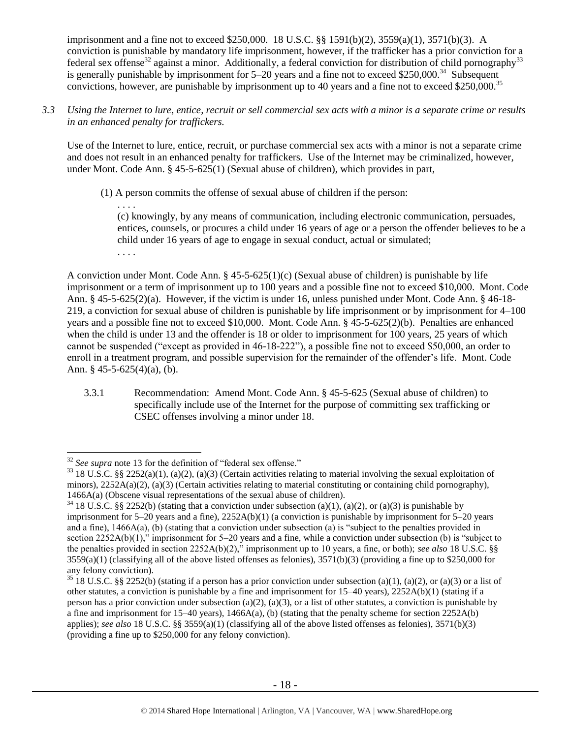imprisonment and a fine not to exceed \$250,000. 18 U.S.C. §§ 1591(b)(2), 3559(a)(1), 3571(b)(3). A conviction is punishable by mandatory life imprisonment, however, if the trafficker has a prior conviction for a federal sex offense<sup>32</sup> against a minor. Additionally, a federal conviction for distribution of child pornography<sup>33</sup> is generally punishable by imprisonment for  $5-20$  years and a fine not to exceed \$250,000.<sup>34</sup> Subsequent convictions, however, are punishable by imprisonment up to 40 years and a fine not to exceed \$250,000.<sup>35</sup>

*3.3 Using the Internet to lure, entice, recruit or sell commercial sex acts with a minor is a separate crime or results in an enhanced penalty for traffickers.*

Use of the Internet to lure, entice, recruit, or purchase commercial sex acts with a minor is not a separate crime and does not result in an enhanced penalty for traffickers. Use of the Internet may be criminalized, however, under Mont. Code Ann. § 45-5-625(1) (Sexual abuse of children), which provides in part,

(1) A person commits the offense of sexual abuse of children if the person:

. . . . (c) knowingly, by any means of communication, including electronic communication, persuades, entices, counsels, or procures a child under 16 years of age or a person the offender believes to be a child under 16 years of age to engage in sexual conduct, actual or simulated; . . . .

A conviction under Mont. Code Ann.  $\S 45-5-625(1)(c)$  (Sexual abuse of children) is punishable by life imprisonment or a term of imprisonment up to 100 years and a possible fine not to exceed \$10,000. Mont. Code Ann. § 45-5-625(2)(a). However, if the victim is under 16, unless punished under Mont. Code Ann. § 46-18- 219, a conviction for sexual abuse of children is punishable by life imprisonment or by imprisonment for 4–100 years and a possible fine not to exceed \$10,000. Mont. Code Ann. § 45-5-625(2)(b). Penalties are enhanced when the child is under 13 and the offender is 18 or older to imprisonment for 100 years, 25 years of which cannot be suspended ("except as provided in 46-18-222"), a possible fine not to exceed \$50,000, an order to enroll in a treatment program, and possible supervision for the remainder of the offender's life. Mont. Code Ann. § 45-5-625(4)(a), (b).

3.3.1 Recommendation: Amend Mont. Code Ann. § 45-5-625 (Sexual abuse of children) to specifically include use of the Internet for the purpose of committing sex trafficking or CSEC offenses involving a minor under 18.

 $\overline{a}$ 

<sup>32</sup> *See supra* note [13](#page-10-0) for the definition of "federal sex offense."

 $33$  18 U.S.C. §§ 2252(a)(1), (a)(2), (a)(3) (Certain activities relating to material involving the sexual exploitation of minors),  $2252A(a)(2)$ , (a)(3) (Certain activities relating to material constituting or containing child pornography), 1466A(a) (Obscene visual representations of the sexual abuse of children).

 $34$  18 U.S.C. §§ 2252(b) (stating that a conviction under subsection (a)(1), (a)(2), or (a)(3) is punishable by imprisonment for 5–20 years and a fine), 2252A(b)(1) (a conviction is punishable by imprisonment for 5–20 years and a fine), 1466A(a), (b) (stating that a conviction under subsection (a) is "subject to the penalties provided in section 2252A(b)(1)," imprisonment for 5–20 years and a fine, while a conviction under subsection (b) is "subject to the penalties provided in section 2252A(b)(2)," imprisonment up to 10 years, a fine, or both); *see also* 18 U.S.C. §§  $3559(a)(1)$  (classifying all of the above listed offenses as felonies),  $3571(b)(3)$  (providing a fine up to \$250,000 for any felony conviction).

<sup>&</sup>lt;sup>35</sup> 18 U.S.C. §§ 2252(b) (stating if a person has a prior conviction under subsection (a)(1), (a)(2), or (a)(3) or a list of other statutes, a conviction is punishable by a fine and imprisonment for  $15-40$  years),  $2252A(b)(1)$  (stating if a person has a prior conviction under subsection (a)(2), (a)(3), or a list of other statutes, a conviction is punishable by a fine and imprisonment for  $15-40$  years),  $1466A(a)$ , (b) (stating that the penalty scheme for section  $2252A(b)$ applies); *see also* 18 U.S.C. §§ 3559(a)(1) (classifying all of the above listed offenses as felonies), 3571(b)(3) (providing a fine up to \$250,000 for any felony conviction).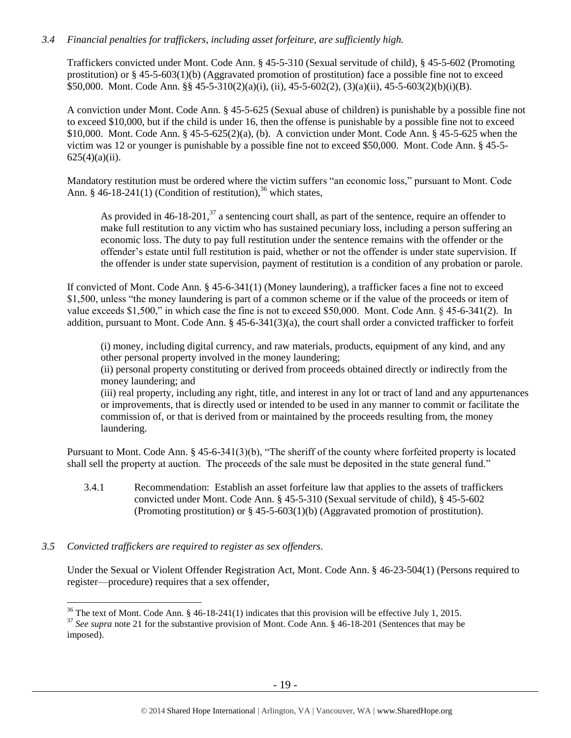# *3.4 Financial penalties for traffickers, including asset forfeiture, are sufficiently high.*

Traffickers convicted under Mont. Code Ann. § 45-5-310 (Sexual servitude of child), § 45-5-602 (Promoting prostitution) or § 45-5-603(1)(b) (Aggravated promotion of prostitution) face a possible fine not to exceed \$50,000. Mont. Code Ann. §§ 45-5-310(2)(a)(i), (ii), 45-5-602(2), (3)(a)(ii), 45-5-603(2)(b)(i)(B).

A conviction under Mont. Code Ann. § 45-5-625 (Sexual abuse of children) is punishable by a possible fine not to exceed \$10,000, but if the child is under 16, then the offense is punishable by a possible fine not to exceed \$10,000. Mont. Code Ann. § 45-5-625(2)(a), (b). A conviction under Mont. Code Ann. § 45-5-625 when the victim was 12 or younger is punishable by a possible fine not to exceed \$50,000. Mont. Code Ann. § 45-5-  $625(4)(a)(ii)$ .

Mandatory restitution must be ordered where the victim suffers "an economic loss," pursuant to Mont. Code Ann. § 46-18-241(1) (Condition of restitution),<sup>36</sup> which states,

As provided in  $46-18-201$ ,  $37$  a sentencing court shall, as part of the sentence, require an offender to make full restitution to any victim who has sustained pecuniary loss, including a person suffering an economic loss. The duty to pay full restitution under the sentence remains with the offender or the offender's estate until full restitution is paid, whether or not the offender is under state supervision. If the offender is under state supervision, payment of restitution is a condition of any probation or parole.

If convicted of Mont. Code Ann. § 45-6-341(1) (Money laundering), a trafficker faces a fine not to exceed \$1,500, unless "the money laundering is part of a common scheme or if the value of the proceeds or item of value exceeds \$1,500," in which case the fine is not to exceed \$50,000. Mont. Code Ann. § 45-6-341(2). In addition, pursuant to Mont. Code Ann. § 45-6-341(3)(a), the court shall order a convicted trafficker to forfeit

(i) money, including digital currency, and raw materials, products, equipment of any kind, and any other personal property involved in the money laundering;

(ii) personal property constituting or derived from proceeds obtained directly or indirectly from the money laundering; and

(iii) real property, including any right, title, and interest in any lot or tract of land and any appurtenances or improvements, that is directly used or intended to be used in any manner to commit or facilitate the commission of, or that is derived from or maintained by the proceeds resulting from, the money laundering.

Pursuant to Mont. Code Ann. § 45-6-341(3)(b), "The sheriff of the county where forfeited property is located shall sell the property at auction. The proceeds of the sale must be deposited in the state general fund."

3.4.1 Recommendation: Establish an asset forfeiture law that applies to the assets of traffickers convicted under Mont. Code Ann. § 45-5-310 (Sexual servitude of child), § 45-5-602 (Promoting prostitution) or § 45-5-603(1)(b) (Aggravated promotion of prostitution).

# *3.5 Convicted traffickers are required to register as sex offenders.*

Under the Sexual or Violent Offender Registration Act, Mont. Code Ann. § 46-23-504(1) (Persons required to register—procedure) requires that a sex offender,

 $\overline{a}$ <sup>36</sup> The text of Mont. Code Ann. § 46-18-241(1) indicates that this provision will be effective July 1, 2015.

<sup>&</sup>lt;sup>37</sup> See supra note [21](#page-12-0) for the substantive provision of Mont. Code Ann. § 46-18-201 (Sentences that may be imposed).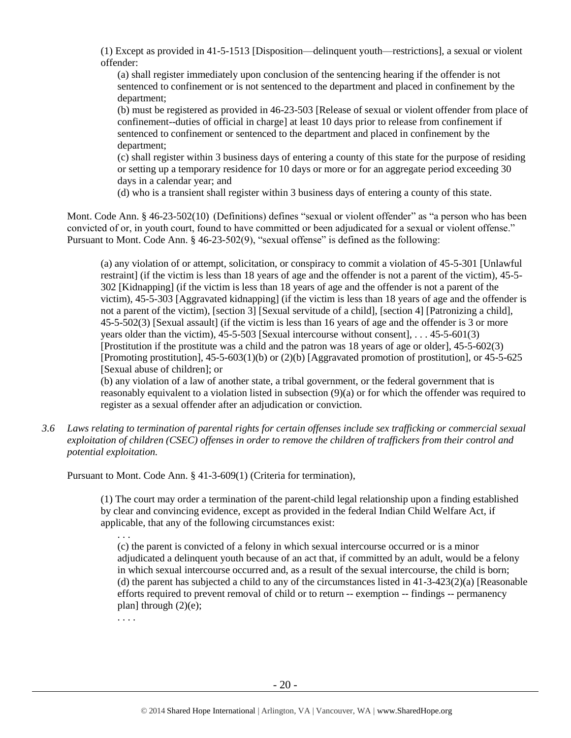(1) Except as provided in 41-5-1513 [Disposition—delinquent youth—restrictions], a sexual or violent offender:

(a) shall register immediately upon conclusion of the sentencing hearing if the offender is not sentenced to confinement or is not sentenced to the department and placed in confinement by the department;

(b) must be registered as provided in 46-23-503 [Release of sexual or violent offender from place of confinement--duties of official in charge] at least 10 days prior to release from confinement if sentenced to confinement or sentenced to the department and placed in confinement by the department;

(c) shall register within 3 business days of entering a county of this state for the purpose of residing or setting up a temporary residence for 10 days or more or for an aggregate period exceeding 30 days in a calendar year; and

(d) who is a transient shall register within 3 business days of entering a county of this state.

Mont. Code Ann. § 46-23-502(10) (Definitions) defines "sexual or violent offender" as "a person who has been convicted of or, in youth court, found to have committed or been adjudicated for a sexual or violent offense." Pursuant to Mont. Code Ann. § 46-23-502(9), "sexual offense" is defined as the following:

(a) any violation of or attempt, solicitation, or conspiracy to commit a violation of 45-5-301 [Unlawful restraint] (if the victim is less than 18 years of age and the offender is not a parent of the victim), 45-5- 302 [Kidnapping] (if the victim is less than 18 years of age and the offender is not a parent of the victim), 45-5-303 [Aggravated kidnapping] (if the victim is less than 18 years of age and the offender is not a parent of the victim), [section 3] [Sexual servitude of a child], [section 4] [Patronizing a child], 45-5-502(3) [Sexual assault] (if the victim is less than 16 years of age and the offender is 3 or more years older than the victim), 45-5-503 [Sexual intercourse without consent], . . . 45-5-601(3) [Prostitution if the prostitute was a child and the patron was 18 years of age or older], 45-5-602(3) [Promoting prostitution], 45-5-603(1)(b) or (2)(b) [Aggravated promotion of prostitution], or 45-5-625 [Sexual abuse of children]; or

(b) any violation of a law of another state, a tribal government, or the federal government that is reasonably equivalent to a violation listed in subsection (9)(a) or for which the offender was required to register as a sexual offender after an adjudication or conviction.

*3.6 Laws relating to termination of parental rights for certain offenses include sex trafficking or commercial sexual exploitation of children (CSEC) offenses in order to remove the children of traffickers from their control and potential exploitation.* 

Pursuant to Mont. Code Ann. § 41-3-609(1) (Criteria for termination),

(1) The court may order a termination of the parent-child legal relationship upon a finding established by clear and convincing evidence, except as provided in the federal Indian Child Welfare Act, if applicable, that any of the following circumstances exist:

(c) the parent is convicted of a felony in which sexual intercourse occurred or is a minor adjudicated a delinquent youth because of an act that, if committed by an adult, would be a felony in which sexual intercourse occurred and, as a result of the sexual intercourse, the child is born; (d) the parent has subjected a child to any of the circumstances listed in  $41-3-423(2)(a)$  [Reasonable efforts required to prevent removal of child or to return -- exemption -- findings -- permanency plan] through  $(2)(e)$ ;

. . . .

. . .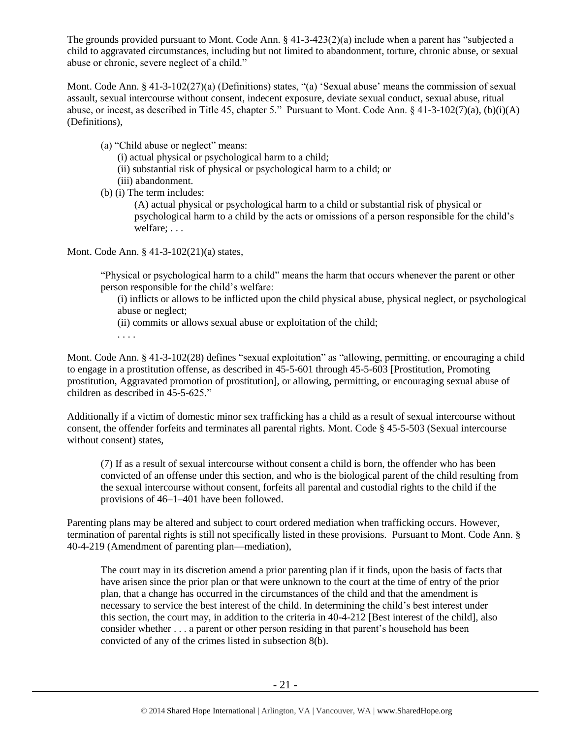The grounds provided pursuant to Mont. Code Ann. § 41-3-423(2)(a) include when a parent has "subjected a child to aggravated circumstances, including but not limited to abandonment, torture, chronic abuse, or sexual abuse or chronic, severe neglect of a child."

Mont. Code Ann. § 41-3-102(27)(a) (Definitions) states, "(a) 'Sexual abuse' means the commission of sexual assault, sexual intercourse without consent, indecent exposure, deviate sexual conduct, sexual abuse, ritual abuse, or incest, as described in Title 45, chapter 5." Pursuant to Mont. Code Ann. § 41-3-102(7)(a), (b)(i)(A) (Definitions),

- (a) "Child abuse or neglect" means:
	- (i) actual physical or psychological harm to a child;
	- (ii) substantial risk of physical or psychological harm to a child; or
	- (iii) abandonment.
- (b) (i) The term includes:
	- (A) actual physical or psychological harm to a child or substantial risk of physical or psychological harm to a child by the acts or omissions of a person responsible for the child's welfare; . . .

Mont. Code Ann. § 41-3-102(21)(a) states,

"Physical or psychological harm to a child" means the harm that occurs whenever the parent or other person responsible for the child's welfare:

(i) inflicts or allows to be inflicted upon the child physical abuse, physical neglect, or psychological abuse or neglect;

- (ii) commits or allows sexual abuse or exploitation of the child;
- . . . .

Mont. Code Ann. § 41-3-102(28) defines "sexual exploitation" as "allowing, permitting, or encouraging a child to engage in a prostitution offense, as described in 45-5-601 through 45-5-603 [Prostitution, Promoting prostitution, Aggravated promotion of prostitution], or allowing, permitting, or encouraging sexual abuse of children as described in 45-5-625."

Additionally if a victim of domestic minor sex trafficking has a child as a result of sexual intercourse without consent, the offender forfeits and terminates all parental rights. Mont. Code § 45-5-503 (Sexual intercourse without consent) states,

(7) If as a result of sexual intercourse without consent a child is born, the offender who has been convicted of an offense under this section, and who is the biological parent of the child resulting from the sexual intercourse without consent, forfeits all parental and custodial rights to the child if the provisions of 46–1–401 have been followed.

Parenting plans may be altered and subject to court ordered mediation when trafficking occurs. However, termination of parental rights is still not specifically listed in these provisions. Pursuant to Mont. Code Ann. § 40-4-219 (Amendment of parenting plan—mediation),

The court may in its discretion amend a prior parenting plan if it finds, upon the basis of facts that have arisen since the prior plan or that were unknown to the court at the time of entry of the prior plan, that a change has occurred in the circumstances of the child and that the amendment is necessary to service the best interest of the child. In determining the child's best interest under this section, the court may, in addition to the criteria in 40-4-212 [Best interest of the child], also consider whether . . . a parent or other person residing in that parent's household has been convicted of any of the crimes listed in subsection 8(b).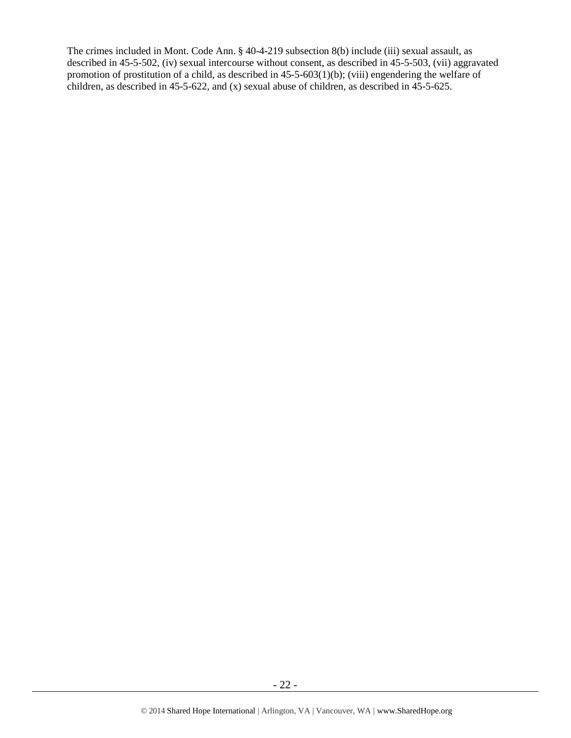The crimes included in Mont. Code Ann. § 40-4-219 subsection 8(b) include (iii) sexual assault, as described in 45-5-502, (iv) sexual intercourse without consent, as described in 45-5-503, (vii) aggravated promotion of prostitution of a child, as described in 45-5-603(1)(b); (viii) engendering the welfare of children, as described in 45-5-622, and (x) sexual abuse of children, as described in 45-5-625.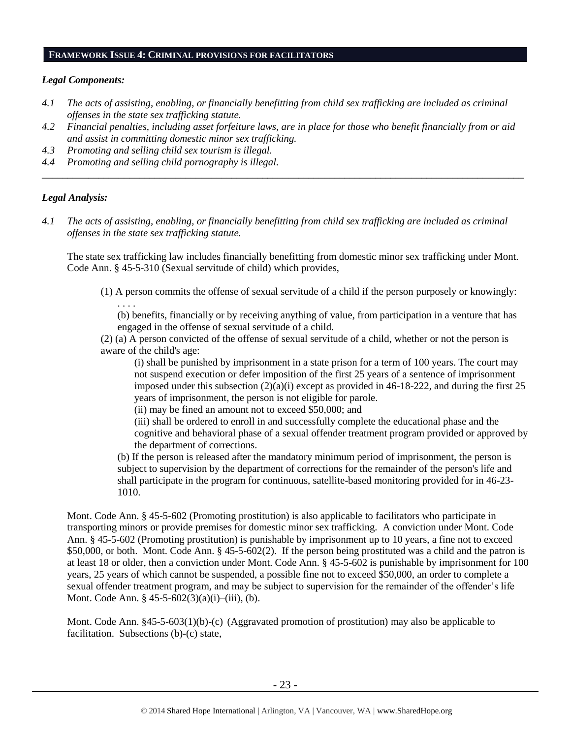#### **FRAMEWORK ISSUE 4: CRIMINAL PROVISIONS FOR FACILITATORS**

## *Legal Components:*

- *4.1 The acts of assisting, enabling, or financially benefitting from child sex trafficking are included as criminal offenses in the state sex trafficking statute.*
- *4.2 Financial penalties, including asset forfeiture laws, are in place for those who benefit financially from or aid and assist in committing domestic minor sex trafficking.*

*\_\_\_\_\_\_\_\_\_\_\_\_\_\_\_\_\_\_\_\_\_\_\_\_\_\_\_\_\_\_\_\_\_\_\_\_\_\_\_\_\_\_\_\_\_\_\_\_\_\_\_\_\_\_\_\_\_\_\_\_\_\_\_\_\_\_\_\_\_\_\_\_\_\_\_\_\_\_\_\_\_\_\_\_\_\_\_\_\_\_\_\_\_\_*

- *4.3 Promoting and selling child sex tourism is illegal.*
- *4.4 Promoting and selling child pornography is illegal.*

## *Legal Analysis:*

*4.1 The acts of assisting, enabling, or financially benefitting from child sex trafficking are included as criminal offenses in the state sex trafficking statute.*

The state sex trafficking law includes financially benefitting from domestic minor sex trafficking under Mont. Code Ann. § 45-5-310 (Sexual servitude of child) which provides,

(1) A person commits the offense of sexual servitude of a child if the person purposely or knowingly:

. . . . (b) benefits, financially or by receiving anything of value, from participation in a venture that has engaged in the offense of sexual servitude of a child.

(2) (a) A person convicted of the offense of sexual servitude of a child, whether or not the person is aware of the child's age:

(i) shall be punished by imprisonment in a state prison for a term of 100 years. The court may not suspend execution or defer imposition of the first 25 years of a sentence of imprisonment imposed under this subsection  $(2)(a)(i)$  except as provided in 46-18-222, and during the first 25 years of imprisonment, the person is not eligible for parole.

(ii) may be fined an amount not to exceed \$50,000; and

(iii) shall be ordered to enroll in and successfully complete the educational phase and the cognitive and behavioral phase of a sexual offender treatment program provided or approved by the department of corrections.

(b) If the person is released after the mandatory minimum period of imprisonment, the person is subject to supervision by the department of corrections for the remainder of the person's life and shall participate in the program for continuous, satellite-based monitoring provided for in 46-23- 1010.

Mont. Code Ann. § 45-5-602 (Promoting prostitution) is also applicable to facilitators who participate in transporting minors or provide premises for domestic minor sex trafficking. A conviction under Mont. Code Ann. § 45-5-602 (Promoting prostitution) is punishable by imprisonment up to 10 years, a fine not to exceed \$50,000, or both. Mont. Code Ann. § 45-5-602(2). If the person being prostituted was a child and the patron is at least 18 or older, then a conviction under Mont. Code Ann. § 45-5-602 is punishable by imprisonment for 100 years, 25 years of which cannot be suspended, a possible fine not to exceed \$50,000, an order to complete a sexual offender treatment program, and may be subject to supervision for the remainder of the offender's life Mont. Code Ann. § 45-5-602(3)(a)(i)–(iii), (b).

Mont. Code Ann. §45-5-603(1)(b)-(c) (Aggravated promotion of prostitution) may also be applicable to facilitation. Subsections (b)-(c) state,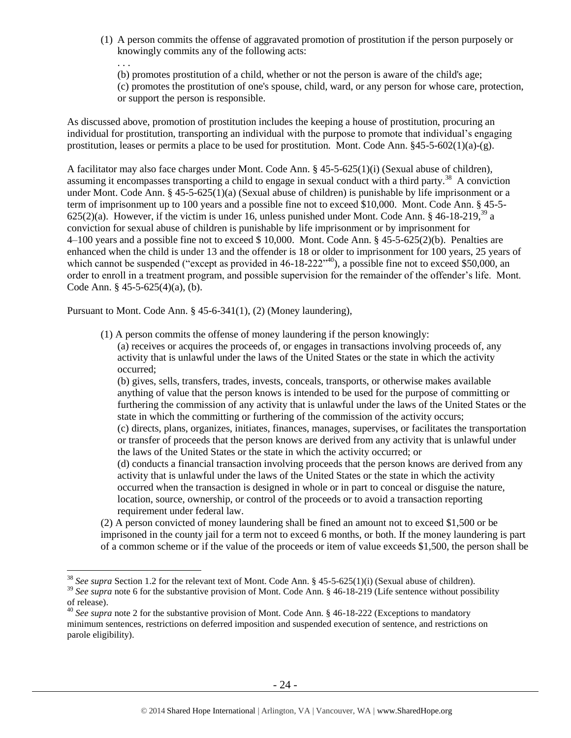(1) A person commits the offense of aggravated promotion of prostitution if the person purposely or knowingly commits any of the following acts:

. . . (b) promotes prostitution of a child, whether or not the person is aware of the child's age; (c) promotes the prostitution of one's spouse, child, ward, or any person for whose care, protection, or support the person is responsible.

As discussed above, promotion of prostitution includes the keeping a house of prostitution, procuring an individual for prostitution, transporting an individual with the purpose to promote that individual's engaging prostitution, leases or permits a place to be used for prostitution. Mont. Code Ann.  $845-5-602(1)(a)-(g)$ .

A facilitator may also face charges under Mont. Code Ann. § 45-5-625(1)(i) (Sexual abuse of children), assuming it encompasses transporting a child to engage in sexual conduct with a third party.<sup>38</sup> A conviction under Mont. Code Ann. § 45-5-625(1)(a) (Sexual abuse of children) is punishable by life imprisonment or a term of imprisonment up to 100 years and a possible fine not to exceed \$10,000. Mont. Code Ann. § 45-5- 625(2)(a). However, if the victim is under 16, unless punished under Mont. Code Ann.  $\S$  46-18-219,<sup>39</sup> a conviction for sexual abuse of children is punishable by life imprisonment or by imprisonment for 4–100 years and a possible fine not to exceed \$ 10,000. Mont. Code Ann. § 45-5-625(2)(b). Penalties are enhanced when the child is under 13 and the offender is 18 or older to imprisonment for 100 years, 25 years of which cannot be suspended ("except as provided in  $46-18-222^{40}$ ), a possible fine not to exceed \$50,000, an order to enroll in a treatment program, and possible supervision for the remainder of the offender's life. Mont. Code Ann. § 45-5-625(4)(a), (b).

Pursuant to Mont. Code Ann. § 45-6-341(1), (2) (Money laundering),

 $\overline{a}$ 

(1) A person commits the offense of money laundering if the person knowingly:

(a) receives or acquires the proceeds of, or engages in transactions involving proceeds of, any activity that is unlawful under the laws of the United States or the state in which the activity occurred;

(b) gives, sells, transfers, trades, invests, conceals, transports, or otherwise makes available anything of value that the person knows is intended to be used for the purpose of committing or furthering the commission of any activity that is unlawful under the laws of the United States or the state in which the committing or furthering of the commission of the activity occurs;

(c) directs, plans, organizes, initiates, finances, manages, supervises, or facilitates the transportation or transfer of proceeds that the person knows are derived from any activity that is unlawful under the laws of the United States or the state in which the activity occurred; or

(d) conducts a financial transaction involving proceeds that the person knows are derived from any activity that is unlawful under the laws of the United States or the state in which the activity occurred when the transaction is designed in whole or in part to conceal or disguise the nature, location, source, ownership, or control of the proceeds or to avoid a transaction reporting requirement under federal law.

(2) A person convicted of money laundering shall be fined an amount not to exceed \$1,500 or be imprisoned in the county jail for a term not to exceed 6 months, or both. If the money laundering is part of a common scheme or if the value of the proceeds or item of value exceeds \$1,500, the person shall be

<sup>38</sup> *See supra* Section 1.2 for the relevant text of Mont. Code Ann. § 45-5-625(1)(i) (Sexual abuse of children).

<sup>&</sup>lt;sup>39</sup> See supra note [6](#page-4-0) for the substantive provision of Mont. Code Ann. § 46-18-219 (Life sentence without possibility of release).

<sup>&</sup>lt;sup>40</sup> See supra note [2](#page-2-0) for the substantive provision of Mont. Code Ann. § 46-18-222 (Exceptions to mandatory minimum sentences, restrictions on deferred imposition and suspended execution of sentence, and restrictions on parole eligibility).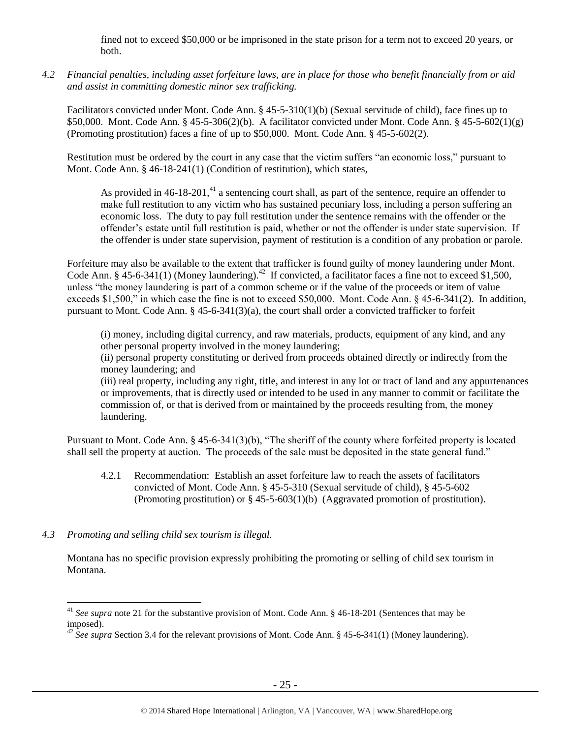fined not to exceed \$50,000 or be imprisoned in the state prison for a term not to exceed 20 years, or both.

*4.2 Financial penalties, including asset forfeiture laws, are in place for those who benefit financially from or aid and assist in committing domestic minor sex trafficking.*

Facilitators convicted under Mont. Code Ann. § 45-5-310(1)(b) (Sexual servitude of child), face fines up to \$50,000. Mont. Code Ann. § 45-5-306(2)(b). A facilitator convicted under Mont. Code Ann. § 45-5-602(1)(g) (Promoting prostitution) faces a fine of up to \$50,000. Mont. Code Ann. § 45-5-602(2).

Restitution must be ordered by the court in any case that the victim suffers "an economic loss," pursuant to Mont. Code Ann. § 46-18-241(1) (Condition of restitution), which states,

As provided in  $46-18-201$ ,<sup>41</sup> a sentencing court shall, as part of the sentence, require an offender to make full restitution to any victim who has sustained pecuniary loss, including a person suffering an economic loss. The duty to pay full restitution under the sentence remains with the offender or the offender's estate until full restitution is paid, whether or not the offender is under state supervision. If the offender is under state supervision, payment of restitution is a condition of any probation or parole.

Forfeiture may also be available to the extent that trafficker is found guilty of money laundering under Mont. Code Ann. § 45-6-341(1) (Money laundering).<sup>42</sup> If convicted, a facilitator faces a fine not to exceed \$1,500, unless "the money laundering is part of a common scheme or if the value of the proceeds or item of value exceeds \$1,500," in which case the fine is not to exceed \$50,000. Mont. Code Ann. § 45-6-341(2). In addition, pursuant to Mont. Code Ann. § 45-6-341(3)(a), the court shall order a convicted trafficker to forfeit

(i) money, including digital currency, and raw materials, products, equipment of any kind, and any other personal property involved in the money laundering;

(ii) personal property constituting or derived from proceeds obtained directly or indirectly from the money laundering; and

(iii) real property, including any right, title, and interest in any lot or tract of land and any appurtenances or improvements, that is directly used or intended to be used in any manner to commit or facilitate the commission of, or that is derived from or maintained by the proceeds resulting from, the money laundering.

Pursuant to Mont. Code Ann. § 45-6-341(3)(b), "The sheriff of the county where forfeited property is located shall sell the property at auction. The proceeds of the sale must be deposited in the state general fund."

4.2.1 Recommendation: Establish an asset forfeiture law to reach the assets of facilitators convicted of Mont. Code Ann. § 45-5-310 (Sexual servitude of child), § 45-5-602 (Promoting prostitution) or § 45-5-603(1)(b) (Aggravated promotion of prostitution).

# *4.3 Promoting and selling child sex tourism is illegal.*

 $\overline{a}$ 

Montana has no specific provision expressly prohibiting the promoting or selling of child sex tourism in Montana.

<sup>&</sup>lt;sup>41</sup> See supra note [21](#page-12-0) for the substantive provision of Mont. Code Ann. § 46-18-201 (Sentences that may be imposed).

<sup>&</sup>lt;sup>42</sup> See supra Section 3.4 for the relevant provisions of Mont. Code Ann. § 45-6-341(1) (Money laundering).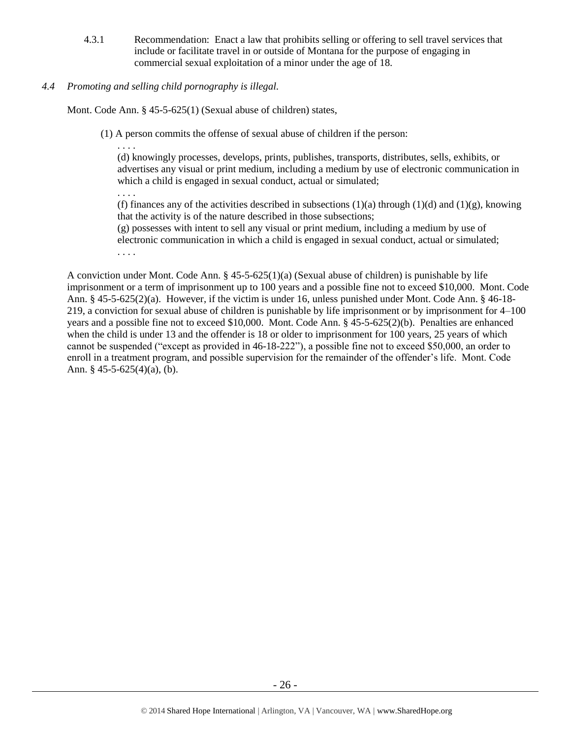4.3.1 Recommendation: Enact a law that prohibits selling or offering to sell travel services that include or facilitate travel in or outside of Montana for the purpose of engaging in commercial sexual exploitation of a minor under the age of 18.

# *4.4 Promoting and selling child pornography is illegal.*

Mont. Code Ann. § 45-5-625(1) (Sexual abuse of children) states,

(1) A person commits the offense of sexual abuse of children if the person:

. . . .

(d) knowingly processes, develops, prints, publishes, transports, distributes, sells, exhibits, or advertises any visual or print medium, including a medium by use of electronic communication in which a child is engaged in sexual conduct, actual or simulated;

. . . . (f) finances any of the activities described in subsections (1)(a) through (1)(d) and (1)(g), knowing that the activity is of the nature described in those subsections;

(g) possesses with intent to sell any visual or print medium, including a medium by use of electronic communication in which a child is engaged in sexual conduct, actual or simulated; . . . .

A conviction under Mont. Code Ann.  $\S 45-5-625(1)(a)$  (Sexual abuse of children) is punishable by life imprisonment or a term of imprisonment up to 100 years and a possible fine not to exceed \$10,000. Mont. Code Ann. § 45-5-625(2)(a). However, if the victim is under 16, unless punished under Mont. Code Ann. § 46-18- 219, a conviction for sexual abuse of children is punishable by life imprisonment or by imprisonment for 4–100 years and a possible fine not to exceed \$10,000. Mont. Code Ann. § 45-5-625(2)(b). Penalties are enhanced when the child is under 13 and the offender is 18 or older to imprisonment for 100 years, 25 years of which cannot be suspended ("except as provided in 46-18-222"), a possible fine not to exceed \$50,000, an order to enroll in a treatment program, and possible supervision for the remainder of the offender's life. Mont. Code Ann. § 45-5-625(4)(a), (b).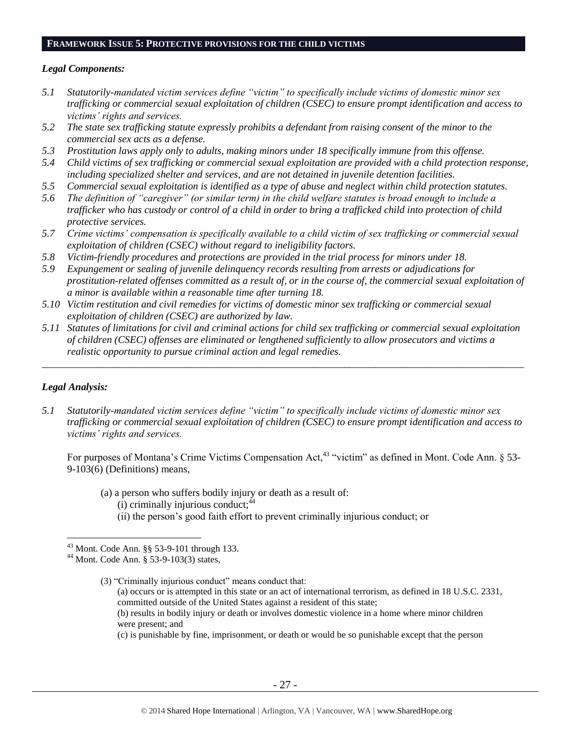#### **FRAMEWORK ISSUE 5: PROTECTIVE PROVISIONS FOR THE CHILD VICTIMS**

#### *Legal Components:*

- *5.1 Statutorily-mandated victim services define "victim" to specifically include victims of domestic minor sex trafficking or commercial sexual exploitation of children (CSEC) to ensure prompt identification and access to victims' rights and services.*
- *5.2 The state sex trafficking statute expressly prohibits a defendant from raising consent of the minor to the commercial sex acts as a defense.*
- *5.3 Prostitution laws apply only to adults, making minors under 18 specifically immune from this offense.*
- *5.4 Child victims of sex trafficking or commercial sexual exploitation are provided with a child protection response, including specialized shelter and services, and are not detained in juvenile detention facilities.*
- *5.5 Commercial sexual exploitation is identified as a type of abuse and neglect within child protection statutes.*
- *5.6 The definition of "caregiver" (or similar term) in the child welfare statutes is broad enough to include a trafficker who has custody or control of a child in order to bring a trafficked child into protection of child protective services.*
- *5.7 Crime victims' compensation is specifically available to a child victim of sex trafficking or commercial sexual exploitation of children (CSEC) without regard to ineligibility factors.*
- *5.8 Victim-friendly procedures and protections are provided in the trial process for minors under 18.*
- *5.9 Expungement or sealing of juvenile delinquency records resulting from arrests or adjudications for prostitution-related offenses committed as a result of, or in the course of, the commercial sexual exploitation of a minor is available within a reasonable time after turning 18.*
- *5.10 Victim restitution and civil remedies for victims of domestic minor sex trafficking or commercial sexual exploitation of children (CSEC) are authorized by law.*
- *5.11 Statutes of limitations for civil and criminal actions for child sex trafficking or commercial sexual exploitation of children (CSEC) offenses are eliminated or lengthened sufficiently to allow prosecutors and victims a realistic opportunity to pursue criminal action and legal remedies.*

*\_\_\_\_\_\_\_\_\_\_\_\_\_\_\_\_\_\_\_\_\_\_\_\_\_\_\_\_\_\_\_\_\_\_\_\_\_\_\_\_\_\_\_\_\_\_\_\_\_\_\_\_\_\_\_\_\_\_\_\_\_\_\_\_\_\_\_\_\_\_\_\_\_\_\_\_\_\_\_\_\_\_\_\_\_\_\_\_\_\_\_\_\_\_*

## *Legal Analysis:*

 $\overline{a}$ 

*5.1 Statutorily-mandated victim services define "victim" to specifically include victims of domestic minor sex trafficking or commercial sexual exploitation of children (CSEC) to ensure prompt identification and access to victims' rights and services.* 

For purposes of Montana's Crime Victims Compensation Act,  $43$  "victim" as defined in Mont. Code Ann.  $\S$  53-9-103(6) (Definitions) means,

<span id="page-26-0"></span>(a) a person who suffers bodily injury or death as a result of: (i) criminally injurious conduct;  $44$ (ii) the person's good faith effort to prevent criminally injurious conduct; or

- (a) occurs or is attempted in this state or an act of international terrorism, as defined in 18 U.S.C. 2331, committed outside of the United States against a resident of this state;
- (b) results in bodily injury or death or involves domestic violence in a home where minor children were present; and

(c) is punishable by fine, imprisonment, or death or would be so punishable except that the person

<sup>43</sup> Mont. Code Ann. §§ 53-9-101 through 133.

<sup>44</sup> Mont. Code Ann. § 53-9-103(3) states,

<sup>(3)</sup> "Criminally injurious conduct" means conduct that: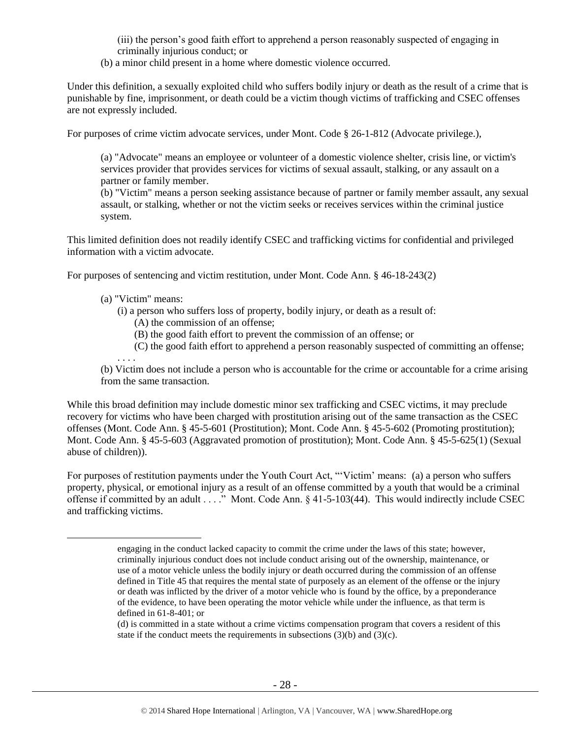(iii) the person's good faith effort to apprehend a person reasonably suspected of engaging in criminally injurious conduct; or

(b) a minor child present in a home where domestic violence occurred.

Under this definition, a sexually exploited child who suffers bodily injury or death as the result of a crime that is punishable by fine, imprisonment, or death could be a victim though victims of trafficking and CSEC offenses are not expressly included.

For purposes of crime victim advocate services, under Mont. Code § 26-1-812 (Advocate privilege.),

(a) "Advocate" means an employee or volunteer of a domestic violence shelter, crisis line, or victim's services provider that provides services for victims of sexual assault, stalking, or any assault on a partner or family member.

(b) "Victim" means a person seeking assistance because of partner or family member assault, any sexual assault, or stalking, whether or not the victim seeks or receives services within the criminal justice system.

This limited definition does not readily identify CSEC and trafficking victims for confidential and privileged information with a victim advocate.

For purposes of sentencing and victim restitution, under Mont. Code Ann. § 46-18-243(2)

(a) "Victim" means:

 $\overline{a}$ 

- (i) a person who suffers loss of property, bodily injury, or death as a result of:
	- (A) the commission of an offense;
	- (B) the good faith effort to prevent the commission of an offense; or
	- (C) the good faith effort to apprehend a person reasonably suspected of committing an offense;

. . . . (b) Victim does not include a person who is accountable for the crime or accountable for a crime arising from the same transaction.

While this broad definition may include domestic minor sex trafficking and CSEC victims, it may preclude recovery for victims who have been charged with prostitution arising out of the same transaction as the CSEC offenses (Mont. Code Ann. § 45-5-601 (Prostitution); Mont. Code Ann. § 45-5-602 (Promoting prostitution); Mont. Code Ann. § 45-5-603 (Aggravated promotion of prostitution); Mont. Code Ann. § 45-5-625(1) (Sexual abuse of children)).

For purposes of restitution payments under the Youth Court Act, "'Victim' means: (a) a person who suffers property, physical, or emotional injury as a result of an offense committed by a youth that would be a criminal offense if committed by an adult . . . ." Mont. Code Ann. § 41-5-103(44). This would indirectly include CSEC and trafficking victims.

engaging in the conduct lacked capacity to commit the crime under the laws of this state; however, criminally injurious conduct does not include conduct arising out of the ownership, maintenance, or use of a motor vehicle unless the bodily injury or death occurred during the commission of an offense defined in Title 45 that requires the mental state of purposely as an element of the offense or the injury or death was inflicted by the driver of a motor vehicle who is found by the office, by a preponderance of the evidence, to have been operating the motor vehicle while under the influence, as that term is defined in 61-8-401; or

<sup>(</sup>d) is committed in a state without a crime victims compensation program that covers a resident of this state if the conduct meets the requirements in subsections  $(3)(b)$  and  $(3)(c)$ .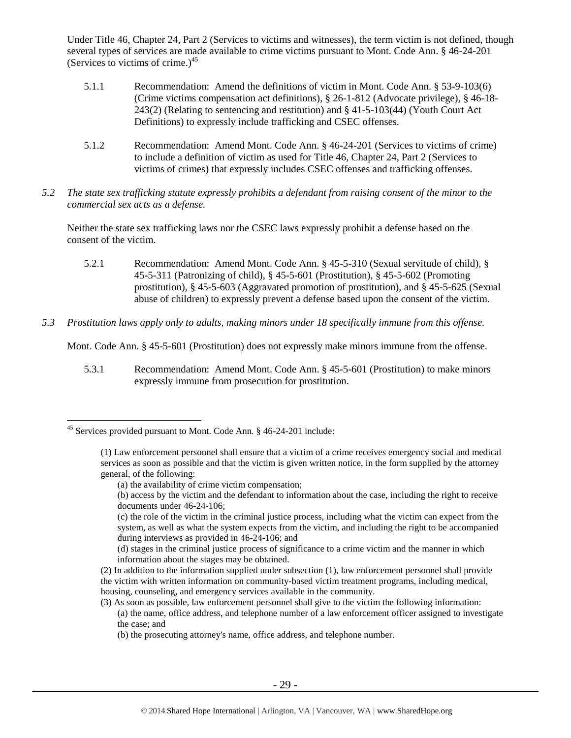Under Title 46, Chapter 24, Part 2 (Services to victims and witnesses), the term victim is not defined, though several types of services are made available to crime victims pursuant to Mont. Code Ann. § 46-24-201 (Services to victims of crime.) $45$ 

- 5.1.1 Recommendation: Amend the definitions of victim in Mont. Code Ann. § 53-9-103(6) (Crime victims compensation act definitions), § 26-1-812 (Advocate privilege), § 46-18- 243(2) (Relating to sentencing and restitution) and § 41-5-103(44) (Youth Court Act Definitions) to expressly include trafficking and CSEC offenses.
- 5.1.2 Recommendation: Amend Mont. Code Ann. § 46-24-201 (Services to victims of crime) to include a definition of victim as used for Title 46, Chapter 24, Part 2 (Services to victims of crimes) that expressly includes CSEC offenses and trafficking offenses.
- *5.2 The state sex trafficking statute expressly prohibits a defendant from raising consent of the minor to the commercial sex acts as a defense.*

Neither the state sex trafficking laws nor the CSEC laws expressly prohibit a defense based on the consent of the victim.

- 5.2.1 Recommendation: Amend Mont. Code Ann. § 45-5-310 (Sexual servitude of child), § 45-5-311 (Patronizing of child), § 45-5-601 (Prostitution), § 45-5-602 (Promoting prostitution), § 45-5-603 (Aggravated promotion of prostitution), and § 45-5-625 (Sexual abuse of children) to expressly prevent a defense based upon the consent of the victim.
- *5.3 Prostitution laws apply only to adults, making minors under 18 specifically immune from this offense.*

Mont. Code Ann. § 45-5-601 (Prostitution) does not expressly make minors immune from the offense.

5.3.1 Recommendation: Amend Mont. Code Ann. § 45-5-601 (Prostitution) to make minors expressly immune from prosecution for prostitution.

 $\overline{a}$ 

<sup>45</sup> Services provided pursuant to Mont. Code Ann. § 46-24-201 include:

<sup>(1)</sup> Law enforcement personnel shall ensure that a victim of a crime receives emergency social and medical services as soon as possible and that the victim is given written notice, in the form supplied by the attorney general, of the following:

<sup>(</sup>a) the availability of crime victim compensation;

<sup>(</sup>b) access by the victim and the defendant to information about the case, including the right to receive documents under [46-24-106;](http://data.opi.mt.gov/bills/mca/46/24/46-24-106.htm)

<sup>(</sup>c) the role of the victim in the criminal justice process, including what the victim can expect from the system, as well as what the system expects from the victim, and including the right to be accompanied during interviews as provided in [46-24-106;](http://data.opi.mt.gov/bills/mca/46/24/46-24-106.htm) and

<sup>(</sup>d) stages in the criminal justice process of significance to a crime victim and the manner in which information about the stages may be obtained.

<sup>(2)</sup> In addition to the information supplied under subsection (1), law enforcement personnel shall provide the victim with written information on community-based victim treatment programs, including medical, housing, counseling, and emergency services available in the community.

<sup>(3)</sup> As soon as possible, law enforcement personnel shall give to the victim the following information:

<sup>(</sup>a) the name, office address, and telephone number of a law enforcement officer assigned to investigate the case; and

<sup>(</sup>b) the prosecuting attorney's name, office address, and telephone number.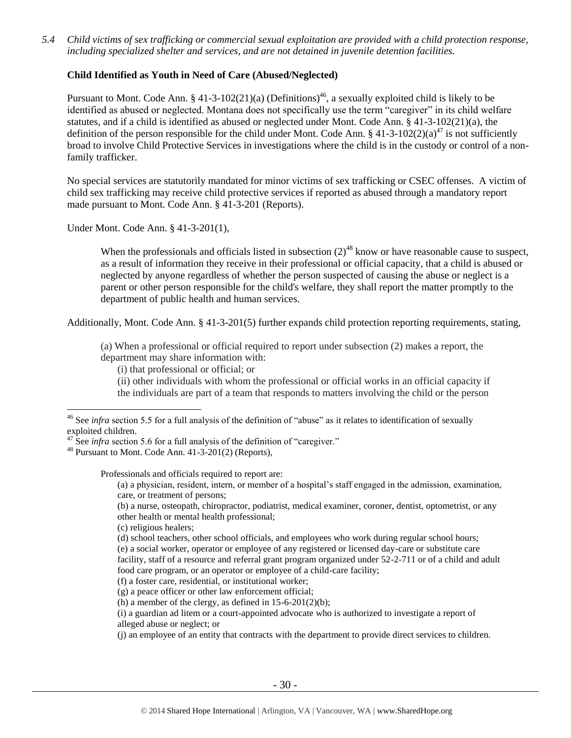*5.4 Child victims of sex trafficking or commercial sexual exploitation are provided with a child protection response, including specialized shelter and services, and are not detained in juvenile detention facilities.*

## **Child Identified as Youth in Need of Care (Abused/Neglected)**

Pursuant to Mont. Code Ann. § 41-3-102(21)(a) (Definitions)<sup>46</sup>, a sexually exploited child is likely to be identified as abused or neglected. Montana does not specifically use the term "caregiver" in its child welfare statutes, and if a child is identified as abused or neglected under Mont. Code Ann. § 41-3-102(21)(a), the definition of the person responsible for the child under Mont. Code Ann. § 41-3-102(2)(a)<sup>47</sup> is not sufficiently broad to involve Child Protective Services in investigations where the child is in the custody or control of a nonfamily trafficker.

No special services are statutorily mandated for minor victims of sex trafficking or CSEC offenses. A victim of child sex trafficking may receive child protective services if reported as abused through a mandatory report made pursuant to Mont. Code Ann. § 41-3-201 (Reports).

Under Mont. Code Ann. § 41-3-201(1),

When the professionals and officials listed in subsection  $(2)^{48}$  know or have reasonable cause to suspect, as a result of information they receive in their professional or official capacity, that a child is abused or neglected by anyone regardless of whether the person suspected of causing the abuse or neglect is a parent or other person responsible for the child's welfare, they shall report the matter promptly to the department of public health and human services.

Additionally, Mont. Code Ann. § 41-3-201(5) further expands child protection reporting requirements, stating,

(a) When a professional or official required to report under subsection (2) makes a report, the department may share information with:

(ii) other individuals with whom the professional or official works in an official capacity if the individuals are part of a team that responds to matters involving the child or the person

 $\overline{a}$ 

Professionals and officials required to report are:

(a) a physician, resident, intern, or member of a hospital's staff engaged in the admission, examination, care, or treatment of persons;

(b) a nurse, osteopath, chiropractor, podiatrist, medical examiner, coroner, dentist, optometrist, or any other health or mental health professional;

- (c) religious healers;
- (d) school teachers, other school officials, and employees who work during regular school hours; (e) a social worker, operator or employee of any registered or licensed day-care or substitute care facility, staff of a resource and referral grant program organized under 52-2-711 or of a child and adult food care program, or an operator or employee of a child-care facility;

<sup>(</sup>i) that professional or official; or

<sup>&</sup>lt;sup>46</sup> See *infra* section 5.5 for a full analysis of the definition of "abuse" as it relates to identification of sexually exploited children.

 $47$  See *infra* section 5.6 for a full analysis of the definition of "caregiver."

 $48$  Pursuant to Mont. Code Ann.  $41-3-201(2)$  (Reports).

<sup>(</sup>f) a foster care, residential, or institutional worker;

<sup>(</sup>g) a peace officer or other law enforcement official;

<sup>(</sup>h) a member of the clergy, as defined in  $15-6-201(2)(b)$ ;

<sup>(</sup>i) a guardian ad litem or a court-appointed advocate who is authorized to investigate a report of alleged abuse or neglect; or

<sup>(</sup>j) an employee of an entity that contracts with the department to provide direct services to children.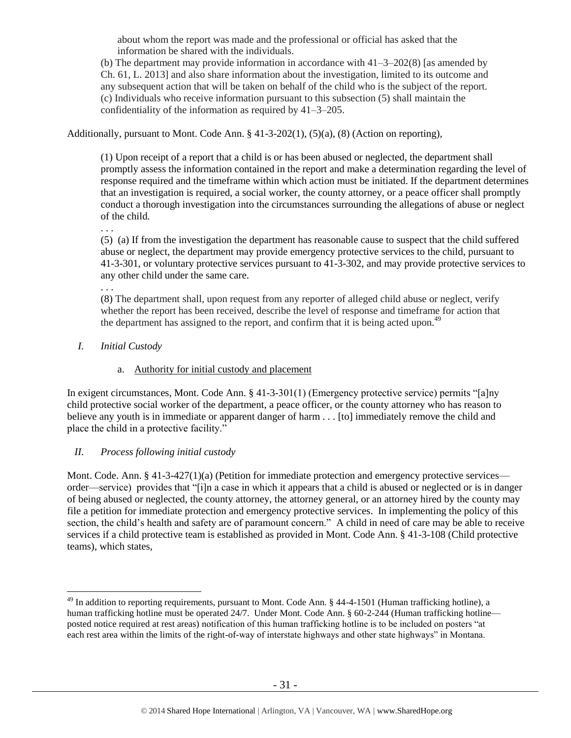about whom the report was made and the professional or official has asked that the information be shared with the individuals.

(b) The department may provide information in accordance with  $41-3-202(8)$  [as amended by Ch. 61, L. 2013] and also share information about the investigation, limited to its outcome and any subsequent action that will be taken on behalf of the child who is the subject of the report. (c) Individuals who receive information pursuant to this subsection (5) shall maintain the confidentiality of the information as required by 41–3–205.

Additionally, pursuant to Mont. Code Ann. § 41-3-202(1), (5)(a), (8) (Action on reporting),

(1) Upon receipt of a report that a child is or has been abused or neglected, the department shall promptly assess the information contained in the report and make a determination regarding the level of response required and the timeframe within which action must be initiated. If the department determines that an investigation is required, a social worker, the county attorney, or a peace officer shall promptly conduct a thorough investigation into the circumstances surrounding the allegations of abuse or neglect of the child.

. . .

(5) (a) If from the investigation the department has reasonable cause to suspect that the child suffered abuse or neglect, the department may provide emergency protective services to the child, pursuant to 41-3-301, or voluntary protective services pursuant to 41-3-302, and may provide protective services to any other child under the same care.

. . .

 $\overline{a}$ 

(8) The department shall, upon request from any reporter of alleged child abuse or neglect, verify whether the report has been received, describe the level of response and timeframe for action that the department has assigned to the report, and confirm that it is being acted upon.<sup>49</sup>

*I. Initial Custody* 

# a. Authority for initial custody and placement

In exigent circumstances, Mont. Code Ann. § 41-3-301(1) (Emergency protective service) permits "[a]ny child protective social worker of the department, a peace officer, or the county attorney who has reason to believe any youth is in immediate or apparent danger of harm . . . [to] immediately remove the child and place the child in a protective facility."

# *II. Process following initial custody*

Mont. Code. Ann. § 41-3-427(1)(a) (Petition for immediate protection and emergency protective services order—service) provides that "[i]n a case in which it appears that a child is abused or neglected or is in danger of being abused or neglected, the county attorney, the attorney general, or an attorney hired by the county may file a petition for immediate protection and emergency protective services. In implementing the policy of this section, the child's health and safety are of paramount concern." A child in need of care may be able to receive services if a child protective team is established as provided in Mont. Code Ann. § 41-3-108 (Child protective teams), which states,

<sup>&</sup>lt;sup>49</sup> In addition to reporting requirements, pursuant to Mont. Code Ann. § 44-4-1501 (Human trafficking hotline), a human trafficking hotline must be operated 24/7. Under Mont. Code Ann. § 60-2-244 (Human trafficking hotline posted notice required at rest areas) notification of this human trafficking hotline is to be included on posters "at each rest area within the limits of the right-of-way of interstate highways and other state highways" in Montana.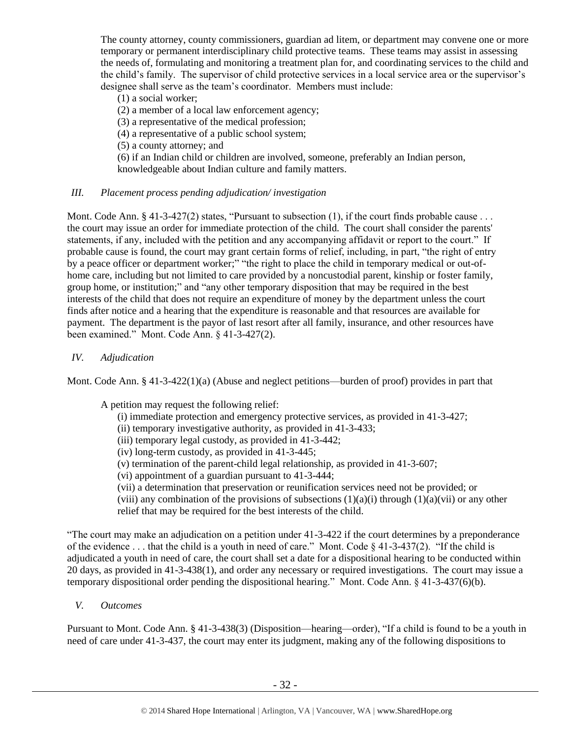The county attorney, county commissioners, guardian ad litem, or department may convene one or more temporary or permanent interdisciplinary child protective teams. These teams may assist in assessing the needs of, formulating and monitoring a treatment plan for, and coordinating services to the child and the child's family. The supervisor of child protective services in a local service area or the supervisor's designee shall serve as the team's coordinator. Members must include:

- (1) a social worker;
- (2) a member of a local law enforcement agency;
- (3) a representative of the medical profession;
- (4) a representative of a public school system;
- (5) a county attorney; and

(6) if an Indian child or children are involved, someone, preferably an Indian person, knowledgeable about Indian culture and family matters.

# *III. Placement process pending adjudication/ investigation*

Mont. Code Ann.  $\S 41-3-427(2)$  states, "Pursuant to subsection (1), if the court finds probable cause ... the court may issue an order for immediate protection of the child. The court shall consider the parents' statements, if any, included with the petition and any accompanying affidavit or report to the court." If probable cause is found, the court may grant certain forms of relief, including, in part, "the right of entry by a peace officer or department worker;" "the right to place the child in temporary medical or out-ofhome care, including but not limited to care provided by a noncustodial parent, kinship or foster family, group home, or institution;" and "any other temporary disposition that may be required in the best interests of the child that does not require an expenditure of money by the department unless the court finds after notice and a hearing that the expenditure is reasonable and that resources are available for payment. The department is the payor of last resort after all family, insurance, and other resources have been examined." Mont. Code Ann. § 41-3-427(2).

# *IV. Adjudication*

Mont. Code Ann. § 41-3-422(1)(a) (Abuse and neglect petitions—burden of proof) provides in part that

A petition may request the following relief:

- (i) immediate protection and emergency protective services, as provided in 41-3-427;
- (ii) temporary investigative authority, as provided in 41-3-433;
- (iii) temporary legal custody, as provided in 41-3-442;
- (iv) long-term custody, as provided in 41-3-445;
- (v) termination of the parent-child legal relationship, as provided in 41-3-607;
- (vi) appointment of a guardian pursuant to 41-3-444;
- (vii) a determination that preservation or reunification services need not be provided; or

(viii) any combination of the provisions of subsections  $(1)(a)(i)$  through  $(1)(a)(vi)$  or any other relief that may be required for the best interests of the child.

"The court may make an adjudication on a petition under 41-3-422 if the court determines by a preponderance of the evidence . . . that the child is a youth in need of care." Mont. Code § 41-3-437(2). "If the child is adjudicated a youth in need of care, the court shall set a date for a dispositional hearing to be conducted within 20 days, as provided in 41-3-438(1), and order any necessary or required investigations. The court may issue a temporary dispositional order pending the dispositional hearing." Mont. Code Ann. § 41-3-437(6)(b).

*V. Outcomes*

Pursuant to Mont. Code Ann. § 41-3-438(3) (Disposition—hearing—order), "If a child is found to be a youth in need of care under 41-3-437, the court may enter its judgment, making any of the following dispositions to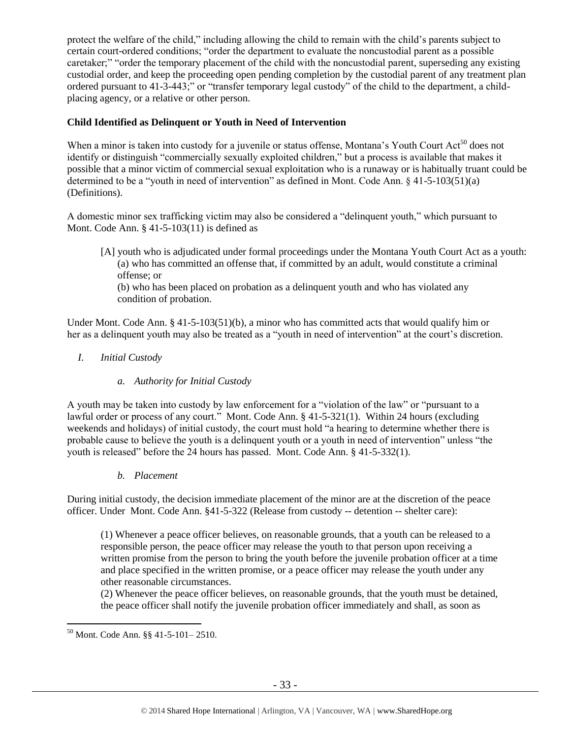protect the welfare of the child," including allowing the child to remain with the child's parents subject to certain court-ordered conditions; "order the department to evaluate the noncustodial parent as a possible caretaker;" "order the temporary placement of the child with the noncustodial parent, superseding any existing custodial order, and keep the proceeding open pending completion by the custodial parent of any treatment plan ordered pursuant to 41-3-443;" or "transfer temporary legal custody" of the child to the department, a childplacing agency, or a relative or other person.

# **Child Identified as Delinquent or Youth in Need of Intervention**

When a minor is taken into custody for a juvenile or status offense, Montana's Youth Court Act<sup>50</sup> does not identify or distinguish "commercially sexually exploited children," but a process is available that makes it possible that a minor victim of commercial sexual exploitation who is a runaway or is habitually truant could be determined to be a "youth in need of intervention" as defined in Mont. Code Ann. § 41-5-103(51)(a) (Definitions).

A domestic minor sex trafficking victim may also be considered a "delinquent youth," which pursuant to Mont. Code Ann. § 41-5-103(11) is defined as

[A] youth who is adjudicated under formal proceedings under the Montana Youth Court Act as a youth: (a) who has committed an offense that, if committed by an adult, would constitute a criminal offense; or

(b) who has been placed on probation as a delinquent youth and who has violated any condition of probation.

Under Mont. Code Ann. § 41-5-103(51)(b), a minor who has committed acts that would qualify him or her as a delinquent youth may also be treated as a "youth in need of intervention" at the court's discretion.

# *I. Initial Custody*

## *a. Authority for Initial Custody*

A youth may be taken into custody by law enforcement for a "violation of the law" or "pursuant to a lawful order or process of any court." Mont. Code Ann. § 41-5-321(1). Within 24 hours (excluding weekends and holidays) of initial custody, the court must hold "a hearing to determine whether there is probable cause to believe the youth is a delinquent youth or a youth in need of intervention" unless "the youth is released" before the 24 hours has passed. Mont. Code Ann. § 41-5-332(1).

*b. Placement*

During initial custody, the decision immediate placement of the minor are at the discretion of the peace officer. Under Mont. Code Ann. §41-5-322 (Release from custody -- detention -- shelter care):

(1) Whenever a peace officer believes, on reasonable grounds, that a youth can be released to a responsible person, the peace officer may release the youth to that person upon receiving a written promise from the person to bring the youth before the juvenile probation officer at a time and place specified in the written promise, or a peace officer may release the youth under any other reasonable circumstances.

(2) Whenever the peace officer believes, on reasonable grounds, that the youth must be detained, the peace officer shall notify the juvenile probation officer immediately and shall, as soon as

 $\overline{a}$ <sup>50</sup> Mont. Code Ann. §§ 41-5-101– 2510.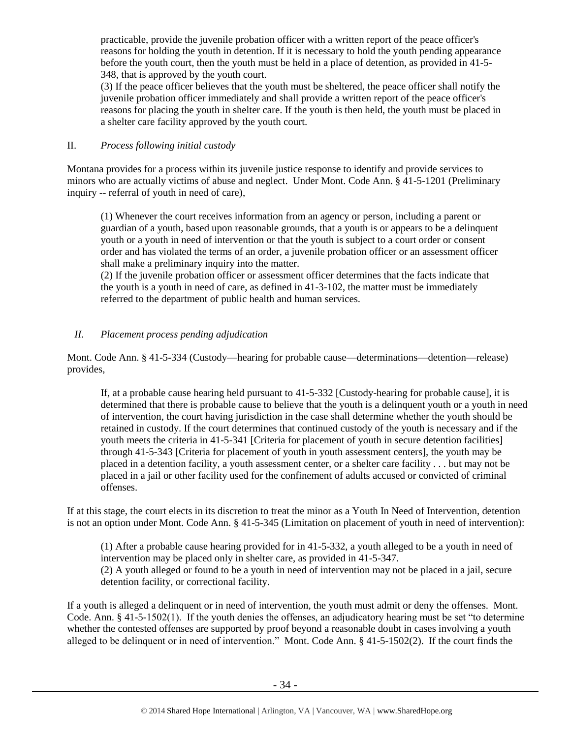practicable, provide the juvenile probation officer with a written report of the peace officer's reasons for holding the youth in detention. If it is necessary to hold the youth pending appearance before the youth court, then the youth must be held in a place of detention, as provided in 41-5- 348, that is approved by the youth court.

(3) If the peace officer believes that the youth must be sheltered, the peace officer shall notify the juvenile probation officer immediately and shall provide a written report of the peace officer's reasons for placing the youth in shelter care. If the youth is then held, the youth must be placed in a shelter care facility approved by the youth court.

# II. *Process following initial custody*

Montana provides for a process within its juvenile justice response to identify and provide services to minors who are actually victims of abuse and neglect. Under Mont. Code Ann. § 41-5-1201 (Preliminary inquiry -- referral of youth in need of care),

(1) Whenever the court receives information from an agency or person, including a parent or guardian of a youth, based upon reasonable grounds, that a youth is or appears to be a delinquent youth or a youth in need of intervention or that the youth is subject to a court order or consent order and has violated the terms of an order, a juvenile probation officer or an assessment officer shall make a preliminary inquiry into the matter.

(2) If the juvenile probation officer or assessment officer determines that the facts indicate that the youth is a youth in need of care, as defined in 41-3-102, the matter must be immediately referred to the department of public health and human services.

# *II. Placement process pending adjudication*

Mont. Code Ann. § 41-5-334 (Custody—hearing for probable cause—determinations—detention—release) provides,

If, at a probable cause hearing held pursuant to 41-5-332 [Custody-hearing for probable cause], it is determined that there is probable cause to believe that the youth is a delinquent youth or a youth in need of intervention, the court having jurisdiction in the case shall determine whether the youth should be retained in custody. If the court determines that continued custody of the youth is necessary and if the youth meets the criteria in 41-5-341 [Criteria for placement of youth in secure detention facilities] through 41-5-343 [Criteria for placement of youth in youth assessment centers], the youth may be placed in a detention facility, a youth assessment center, or a shelter care facility . . . but may not be placed in a jail or other facility used for the confinement of adults accused or convicted of criminal offenses.

If at this stage, the court elects in its discretion to treat the minor as a Youth In Need of Intervention, detention is not an option under Mont. Code Ann. § 41-5-345 (Limitation on placement of youth in need of intervention):

(1) After a probable cause hearing provided for in 41-5-332, a youth alleged to be a youth in need of intervention may be placed only in shelter care, as provided in 41-5-347. (2) A youth alleged or found to be a youth in need of intervention may not be placed in a jail, secure detention facility, or correctional facility.

If a youth is alleged a delinquent or in need of intervention, the youth must admit or deny the offenses. Mont. Code. Ann. § 41-5-1502(1). If the youth denies the offenses, an adjudicatory hearing must be set "to determine whether the contested offenses are supported by proof beyond a reasonable doubt in cases involving a youth alleged to be delinquent or in need of intervention." Mont. Code Ann. § 41-5-1502(2). If the court finds the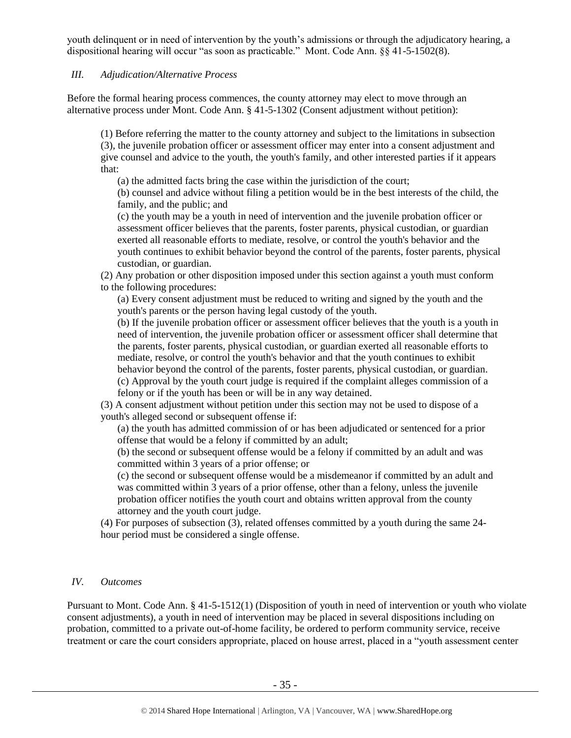youth delinquent or in need of intervention by the youth's admissions or through the adjudicatory hearing, a dispositional hearing will occur "as soon as practicable." Mont. Code Ann. §§ 41-5-1502(8).

## *III. Adjudication/Alternative Process*

Before the formal hearing process commences, the county attorney may elect to move through an alternative process under Mont. Code Ann. § 41-5-1302 (Consent adjustment without petition):

(1) Before referring the matter to the county attorney and subject to the limitations in subsection (3), the juvenile probation officer or assessment officer may enter into a consent adjustment and give counsel and advice to the youth, the youth's family, and other interested parties if it appears that:

(a) the admitted facts bring the case within the jurisdiction of the court;

(b) counsel and advice without filing a petition would be in the best interests of the child, the family, and the public; and

(c) the youth may be a youth in need of intervention and the juvenile probation officer or assessment officer believes that the parents, foster parents, physical custodian, or guardian exerted all reasonable efforts to mediate, resolve, or control the youth's behavior and the youth continues to exhibit behavior beyond the control of the parents, foster parents, physical custodian, or guardian.

(2) Any probation or other disposition imposed under this section against a youth must conform to the following procedures:

(a) Every consent adjustment must be reduced to writing and signed by the youth and the youth's parents or the person having legal custody of the youth.

(b) If the juvenile probation officer or assessment officer believes that the youth is a youth in need of intervention, the juvenile probation officer or assessment officer shall determine that the parents, foster parents, physical custodian, or guardian exerted all reasonable efforts to mediate, resolve, or control the youth's behavior and that the youth continues to exhibit behavior beyond the control of the parents, foster parents, physical custodian, or guardian. (c) Approval by the youth court judge is required if the complaint alleges commission of a felony or if the youth has been or will be in any way detained.

(3) A consent adjustment without petition under this section may not be used to dispose of a youth's alleged second or subsequent offense if:

(a) the youth has admitted commission of or has been adjudicated or sentenced for a prior offense that would be a felony if committed by an adult;

(b) the second or subsequent offense would be a felony if committed by an adult and was committed within 3 years of a prior offense; or

(c) the second or subsequent offense would be a misdemeanor if committed by an adult and was committed within 3 years of a prior offense, other than a felony, unless the juvenile probation officer notifies the youth court and obtains written approval from the county attorney and the youth court judge.

(4) For purposes of subsection (3), related offenses committed by a youth during the same 24 hour period must be considered a single offense.

## *IV. Outcomes*

Pursuant to Mont. Code Ann. § 41-5-1512(1) (Disposition of youth in need of intervention or youth who violate consent adjustments), a youth in need of intervention may be placed in several dispositions including on probation, committed to a private out-of-home facility, be ordered to perform community service, receive treatment or care the court considers appropriate, placed on house arrest, placed in a "youth assessment center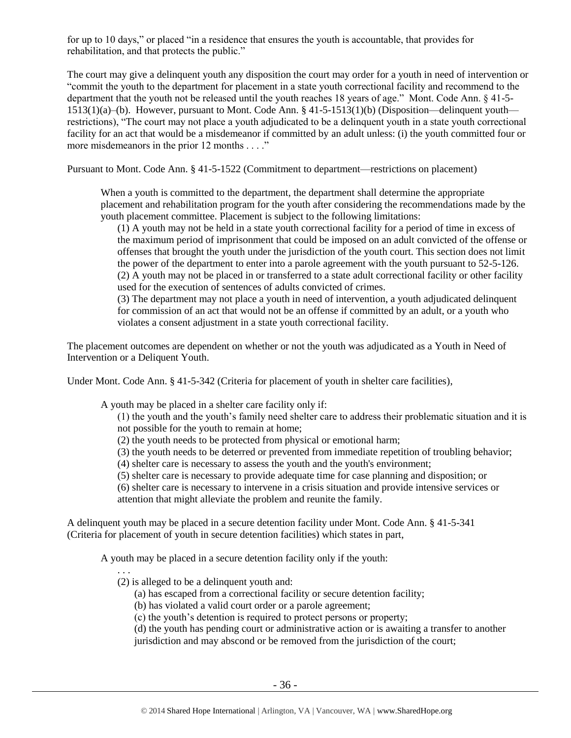for up to 10 days," or placed "in a residence that ensures the youth is accountable, that provides for rehabilitation, and that protects the public."

The court may give a delinquent youth any disposition the court may order for a youth in need of intervention or "commit the youth to the department for placement in a state youth correctional facility and recommend to the department that the youth not be released until the youth reaches 18 years of age." Mont. Code Ann. § 41-5- 1513(1)(a)–(b). However, pursuant to Mont. Code Ann. § 41-5-1513(1)(b) (Disposition—delinquent youth restrictions), "The court may not place a youth adjudicated to be a delinquent youth in a state youth correctional facility for an act that would be a misdemeanor if committed by an adult unless: (i) the youth committed four or more misdemeanors in the prior 12 months . . . ."

Pursuant to Mont. Code Ann. § 41-5-1522 (Commitment to department—restrictions on placement)

When a youth is committed to the department, the department shall determine the appropriate placement and rehabilitation program for the youth after considering the recommendations made by the youth placement committee. Placement is subject to the following limitations:

(1) A youth may not be held in a state youth correctional facility for a period of time in excess of the maximum period of imprisonment that could be imposed on an adult convicted of the offense or offenses that brought the youth under the jurisdiction of the youth court. This section does not limit the power of the department to enter into a parole agreement with the youth pursuant to 52-5-126. (2) A youth may not be placed in or transferred to a state adult correctional facility or other facility used for the execution of sentences of adults convicted of crimes.

(3) The department may not place a youth in need of intervention, a youth adjudicated delinquent for commission of an act that would not be an offense if committed by an adult, or a youth who violates a consent adjustment in a state youth correctional facility.

The placement outcomes are dependent on whether or not the youth was adjudicated as a Youth in Need of Intervention or a Deliquent Youth.

Under Mont. Code Ann. § 41-5-342 (Criteria for placement of youth in shelter care facilities),

A youth may be placed in a shelter care facility only if:

(1) the youth and the youth's family need shelter care to address their problematic situation and it is not possible for the youth to remain at home;

- (2) the youth needs to be protected from physical or emotional harm;
- (3) the youth needs to be deterred or prevented from immediate repetition of troubling behavior;
- (4) shelter care is necessary to assess the youth and the youth's environment;
- (5) shelter care is necessary to provide adequate time for case planning and disposition; or

(6) shelter care is necessary to intervene in a crisis situation and provide intensive services or attention that might alleviate the problem and reunite the family.

A delinquent youth may be placed in a secure detention facility under Mont. Code Ann. § 41-5-341 (Criteria for placement of youth in secure detention facilities) which states in part,

A youth may be placed in a secure detention facility only if the youth:

. . .

- (2) is alleged to be a delinquent youth and:
	- (a) has escaped from a correctional facility or secure detention facility;
	- (b) has violated a valid court order or a parole agreement;
	- (c) the youth's detention is required to protect persons or property;

(d) the youth has pending court or administrative action or is awaiting a transfer to another jurisdiction and may abscond or be removed from the jurisdiction of the court;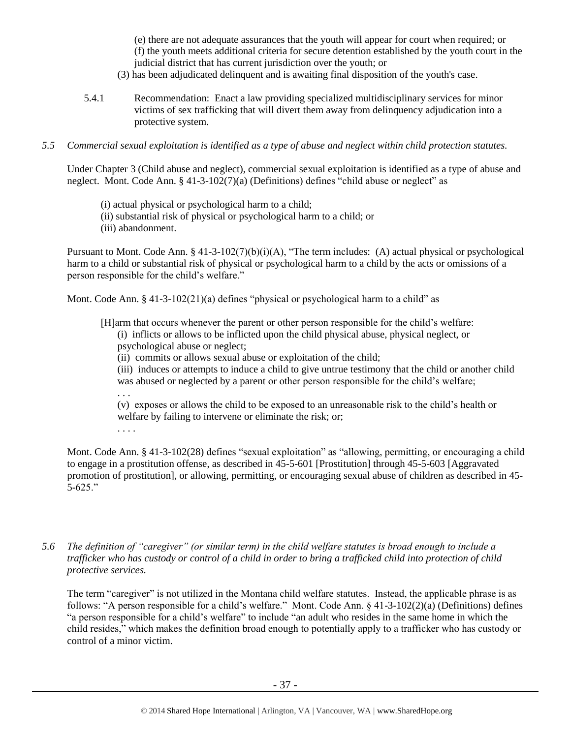(e) there are not adequate assurances that the youth will appear for court when required; or (f) the youth meets additional criteria for secure detention established by the youth court in the judicial district that has current jurisdiction over the youth; or

- (3) has been adjudicated delinquent and is awaiting final disposition of the youth's case.
- 5.4.1 Recommendation: Enact a law providing specialized multidisciplinary services for minor victims of sex trafficking that will divert them away from delinquency adjudication into a protective system.
- *5.5 Commercial sexual exploitation is identified as a type of abuse and neglect within child protection statutes.*

Under Chapter 3 (Child abuse and neglect), commercial sexual exploitation is identified as a type of abuse and neglect. Mont. Code Ann. § 41-3-102(7)(a) (Definitions) defines "child abuse or neglect" as

- (i) actual physical or psychological harm to a child;
- (ii) substantial risk of physical or psychological harm to a child; or
- (iii) abandonment.

Pursuant to Mont. Code Ann. § 41-3-102(7)(b)(i)(A), "The term includes: (A) actual physical or psychological harm to a child or substantial risk of physical or psychological harm to a child by the acts or omissions of a person responsible for the child's welfare."

Mont. Code Ann.  $\S$  41-3-102(21)(a) defines "physical or psychological harm to a child" as

[H]arm that occurs whenever the parent or other person responsible for the child's welfare:

- (i) inflicts or allows to be inflicted upon the child physical abuse, physical neglect, or psychological abuse or neglect;
- (ii) commits or allows sexual abuse or exploitation of the child;

(iii) induces or attempts to induce a child to give untrue testimony that the child or another child was abused or neglected by a parent or other person responsible for the child's welfare;

. . .

(v) exposes or allows the child to be exposed to an unreasonable risk to the child's health or welfare by failing to intervene or eliminate the risk; or;

. . . .

Mont. Code Ann. § 41-3-102(28) defines "sexual exploitation" as "allowing, permitting, or encouraging a child to engage in a prostitution offense, as described in 45-5-601 [Prostitution] through 45-5-603 [Aggravated promotion of prostitution], or allowing, permitting, or encouraging sexual abuse of children as described in 45- 5-625."

*5.6 The definition of "caregiver" (or similar term) in the child welfare statutes is broad enough to include a trafficker who has custody or control of a child in order to bring a trafficked child into protection of child protective services.*

The term "caregiver" is not utilized in the Montana child welfare statutes. Instead, the applicable phrase is as follows: "A person responsible for a child's welfare." Mont. Code Ann. § 41-3-102(2)(a) (Definitions) defines "a person responsible for a child's welfare" to include "an adult who resides in the same home in which the child resides," which makes the definition broad enough to potentially apply to a trafficker who has custody or control of a minor victim.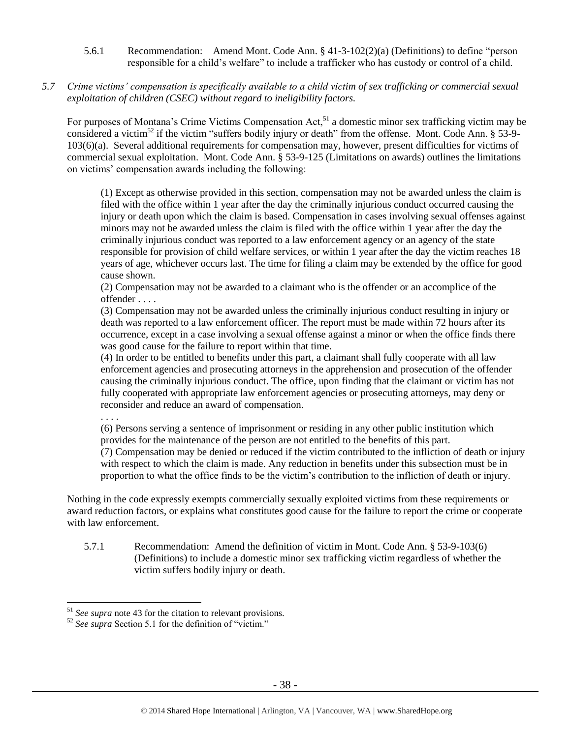- 5.6.1 Recommendation: Amend Mont. Code Ann. § 41-3-102(2)(a) (Definitions) to define "person responsible for a child's welfare" to include a trafficker who has custody or control of a child.
- *5.7 Crime victims' compensation is specifically available to a child victim of sex trafficking or commercial sexual exploitation of children (CSEC) without regard to ineligibility factors.*

For purposes of Montana's Crime Victims Compensation Act,<sup>51</sup> a domestic minor sex trafficking victim may be considered a victim<sup>52</sup> if the victim "suffers bodily injury or death" from the offense. Mont. Code Ann. § 53-9-103(6)(a). Several additional requirements for compensation may, however, present difficulties for victims of commercial sexual exploitation. Mont. Code Ann. § 53-9-125 (Limitations on awards) outlines the limitations on victims' compensation awards including the following:

(1) Except as otherwise provided in this section, compensation may not be awarded unless the claim is filed with the office within 1 year after the day the criminally injurious conduct occurred causing the injury or death upon which the claim is based. Compensation in cases involving sexual offenses against minors may not be awarded unless the claim is filed with the office within 1 year after the day the criminally injurious conduct was reported to a law enforcement agency or an agency of the state responsible for provision of child welfare services, or within 1 year after the day the victim reaches 18 years of age, whichever occurs last. The time for filing a claim may be extended by the office for good cause shown.

(2) Compensation may not be awarded to a claimant who is the offender or an accomplice of the offender . . . .

(3) Compensation may not be awarded unless the criminally injurious conduct resulting in injury or death was reported to a law enforcement officer. The report must be made within 72 hours after its occurrence, except in a case involving a sexual offense against a minor or when the office finds there was good cause for the failure to report within that time.

(4) In order to be entitled to benefits under this part, a claimant shall fully cooperate with all law enforcement agencies and prosecuting attorneys in the apprehension and prosecution of the offender causing the criminally injurious conduct. The office, upon finding that the claimant or victim has not fully cooperated with appropriate law enforcement agencies or prosecuting attorneys, may deny or reconsider and reduce an award of compensation.

. . . .

 $\overline{a}$ 

(6) Persons serving a sentence of imprisonment or residing in any other public institution which provides for the maintenance of the person are not entitled to the benefits of this part.

(7) Compensation may be denied or reduced if the victim contributed to the infliction of death or injury with respect to which the claim is made. Any reduction in benefits under this subsection must be in proportion to what the office finds to be the victim's contribution to the infliction of death or injury.

Nothing in the code expressly exempts commercially sexually exploited victims from these requirements or award reduction factors, or explains what constitutes good cause for the failure to report the crime or cooperate with law enforcement.

5.7.1 Recommendation: Amend the definition of victim in Mont. Code Ann. § 53-9-103(6) (Definitions) to include a domestic minor sex trafficking victim regardless of whether the victim suffers bodily injury or death.

<sup>51</sup> *See supra* note [43](#page-26-0) for the citation to relevant provisions.

<sup>52</sup> *See supra* Section 5.1 for the definition of "victim."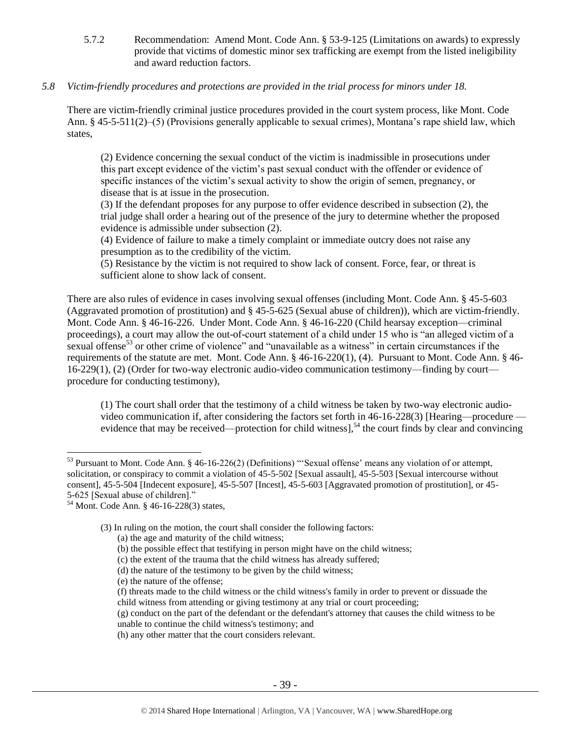5.7.2 Recommendation: Amend Mont. Code Ann. § 53-9-125 (Limitations on awards) to expressly provide that victims of domestic minor sex trafficking are exempt from the listed ineligibility and award reduction factors.

# *5.8 Victim-friendly procedures and protections are provided in the trial process for minors under 18.*

There are victim-friendly criminal justice procedures provided in the court system process, like Mont. Code Ann. § 45-5-511(2)–(5) (Provisions generally applicable to sexual crimes), Montana's rape shield law, which states,

(2) Evidence concerning the sexual conduct of the victim is inadmissible in prosecutions under this part except evidence of the victim's past sexual conduct with the offender or evidence of specific instances of the victim's sexual activity to show the origin of semen, pregnancy, or disease that is at issue in the prosecution.

(3) If the defendant proposes for any purpose to offer evidence described in subsection (2), the trial judge shall order a hearing out of the presence of the jury to determine whether the proposed evidence is admissible under subsection (2).

(4) Evidence of failure to make a timely complaint or immediate outcry does not raise any presumption as to the credibility of the victim.

(5) Resistance by the victim is not required to show lack of consent. Force, fear, or threat is sufficient alone to show lack of consent.

There are also rules of evidence in cases involving sexual offenses (including Mont. Code Ann. § 45-5-603 (Aggravated promotion of prostitution) and § 45-5-625 (Sexual abuse of children)), which are victim-friendly. Mont. Code Ann. § 46-16-226. Under Mont. Code Ann. § 46-16-220 (Child hearsay exception—criminal proceedings), a court may allow the out-of-court statement of a child under 15 who is "an alleged victim of a sexual offense<sup>53</sup> or other crime of violence" and "unavailable as a witness" in certain circumstances if the requirements of the statute are met. Mont. Code Ann. § 46-16-220(1), (4). Pursuant to Mont. Code Ann. § 46- 16-229(1), (2) (Order for two-way electronic audio-video communication testimony—finding by court procedure for conducting testimony),

(1) The court shall order that the testimony of a child witness be taken by two-way electronic audiovideo communication if, after considering the factors set forth in 46-16-228(3) [Hearing—procedure evidence that may be received—protection for child witness],<sup>54</sup> the court finds by clear and convincing

 $\overline{a}$ 

(3) In ruling on the motion, the court shall consider the following factors:

(b) the possible effect that testifying in person might have on the child witness;

- (e) the nature of the offense;
- (f) threats made to the child witness or the child witness's family in order to prevent or dissuade the child witness from attending or giving testimony at any trial or court proceeding;
- (g) conduct on the part of the defendant or the defendant's attorney that causes the child witness to be unable to continue the child witness's testimony; and

 $53$  Pursuant to Mont. Code Ann. § 46-16-226(2) (Definitions) "'Sexual offense' means any violation of or attempt, solicitation, or conspiracy to commit a violation of 45-5-502 [Sexual assault], 45-5-503 [Sexual intercourse without consent], 45-5-504 [Indecent exposure], 45-5-507 [Incest], 45-5-603 [Aggravated promotion of prostitution], or 45- 5-625 [Sexual abuse of children]."

<sup>54</sup> Mont. Code Ann. § 46-16-228(3) states,

<sup>(</sup>a) the age and maturity of the child witness;

<sup>(</sup>c) the extent of the trauma that the child witness has already suffered;

<sup>(</sup>d) the nature of the testimony to be given by the child witness;

<sup>(</sup>h) any other matter that the court considers relevant.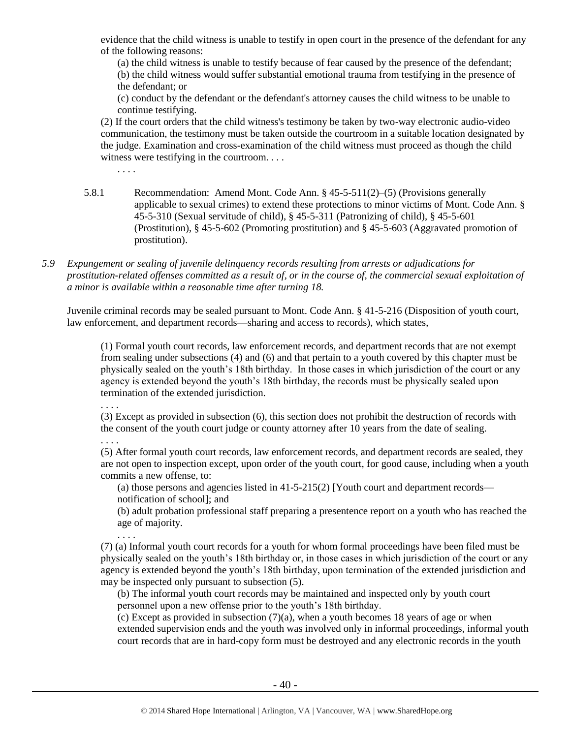evidence that the child witness is unable to testify in open court in the presence of the defendant for any of the following reasons:

(a) the child witness is unable to testify because of fear caused by the presence of the defendant; (b) the child witness would suffer substantial emotional trauma from testifying in the presence of the defendant; or

(c) conduct by the defendant or the defendant's attorney causes the child witness to be unable to continue testifying.

(2) If the court orders that the child witness's testimony be taken by two-way electronic audio-video communication, the testimony must be taken outside the courtroom in a suitable location designated by the judge. Examination and cross-examination of the child witness must proceed as though the child witness were testifying in the courtroom. . . .

. . . .

- 5.8.1 Recommendation: Amend Mont. Code Ann. § 45-5-511(2)–(5) (Provisions generally applicable to sexual crimes) to extend these protections to minor victims of Mont. Code Ann. § 45-5-310 (Sexual servitude of child), § 45-5-311 (Patronizing of child), § 45-5-601 (Prostitution), § 45-5-602 (Promoting prostitution) and § 45-5-603 (Aggravated promotion of prostitution).
- *5.9 Expungement or sealing of juvenile delinquency records resulting from arrests or adjudications for prostitution-related offenses committed as a result of, or in the course of, the commercial sexual exploitation of a minor is available within a reasonable time after turning 18.*

Juvenile criminal records may be sealed pursuant to Mont. Code Ann. § 41-5-216 (Disposition of youth court, law enforcement, and department records—sharing and access to records), which states,

(1) Formal youth court records, law enforcement records, and department records that are not exempt from sealing under subsections (4) and (6) and that pertain to a youth covered by this chapter must be physically sealed on the youth's 18th birthday. In those cases in which jurisdiction of the court or any agency is extended beyond the youth's 18th birthday, the records must be physically sealed upon termination of the extended jurisdiction.

. . . .

(3) Except as provided in subsection (6), this section does not prohibit the destruction of records with the consent of the youth court judge or county attorney after 10 years from the date of sealing.

. . . .

. . . .

(5) After formal youth court records, law enforcement records, and department records are sealed, they are not open to inspection except, upon order of the youth court, for good cause, including when a youth commits a new offense, to:

(a) those persons and agencies listed in [41-5-215\(](http://data.opi.mt.gov/bills/mca/41/5/41-5-215.htm)2) [Youth court and department records notification of school]; and

(b) adult probation professional staff preparing a presentence report on a youth who has reached the age of majority.

(7) (a) Informal youth court records for a youth for whom formal proceedings have been filed must be physically sealed on the youth's 18th birthday or, in those cases in which jurisdiction of the court or any agency is extended beyond the youth's 18th birthday, upon termination of the extended jurisdiction and may be inspected only pursuant to subsection (5).

(b) The informal youth court records may be maintained and inspected only by youth court personnel upon a new offense prior to the youth's 18th birthday.

(c) Except as provided in subsection  $(7)(a)$ , when a youth becomes 18 years of age or when extended supervision ends and the youth was involved only in informal proceedings, informal youth court records that are in hard-copy form must be destroyed and any electronic records in the youth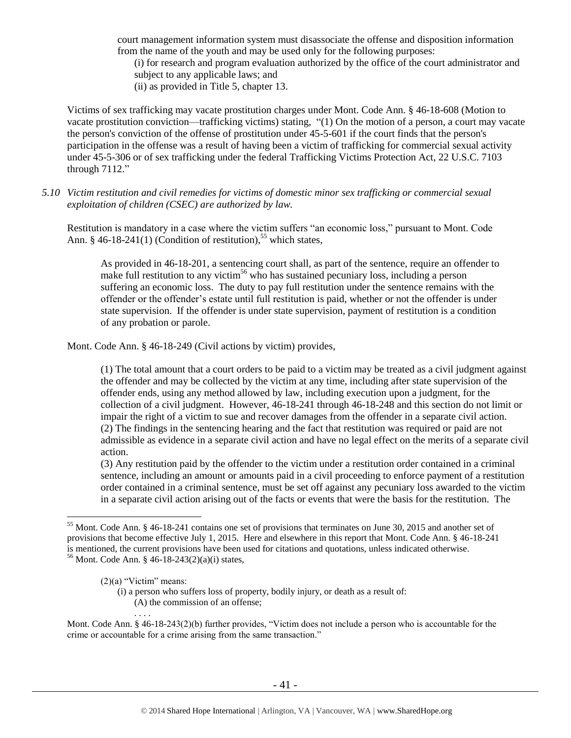court management information system must disassociate the offense and disposition information from the name of the youth and may be used only for the following purposes: (i) for research and program evaluation authorized by the office of the court administrator and

subject to any applicable laws; and

(ii) as provided in Title 5, chapter 13.

Victims of sex trafficking may vacate prostitution charges under Mont. Code Ann. § 46-18-608 (Motion to vacate prostitution conviction—trafficking victims) stating, "(1) On the motion of a person, a court may vacate the person's conviction of the offense of prostitution under 45-5-601 if the court finds that the person's participation in the offense was a result of having been a victim of trafficking for commercial sexual activity under 45-5-306 or of sex trafficking under the federal Trafficking Victims Protection Act, 22 U.S.C. 7103 through 7112."

*5.10 Victim restitution and civil remedies for victims of domestic minor sex trafficking or commercial sexual exploitation of children (CSEC) are authorized by law.* 

Restitution is mandatory in a case where the victim suffers "an economic loss," pursuant to Mont. Code Ann. § 46-18-241(1) (Condition of restitution),<sup>55</sup> which states,

As provided in 46-18-201, a sentencing court shall, as part of the sentence, require an offender to make full restitution to any victim<sup>56</sup> who has sustained pecuniary loss, including a person suffering an economic loss. The duty to pay full restitution under the sentence remains with the offender or the offender's estate until full restitution is paid, whether or not the offender is under state supervision. If the offender is under state supervision, payment of restitution is a condition of any probation or parole.

Mont. Code Ann. § 46-18-249 (Civil actions by victim) provides,

(1) The total amount that a court orders to be paid to a victim may be treated as a civil judgment against the offender and may be collected by the victim at any time, including after state supervision of the offender ends, using any method allowed by law, including execution upon a judgment, for the collection of a civil judgment. However, 46-18-241 through 46-18-248 and this section do not limit or impair the right of a victim to sue and recover damages from the offender in a separate civil action. (2) The findings in the sentencing hearing and the fact that restitution was required or paid are not admissible as evidence in a separate civil action and have no legal effect on the merits of a separate civil action.

(3) Any restitution paid by the offender to the victim under a restitution order contained in a criminal sentence, including an amount or amounts paid in a civil proceeding to enforce payment of a restitution order contained in a criminal sentence, must be set off against any pecuniary loss awarded to the victim in a separate civil action arising out of the facts or events that were the basis for the restitution. The

. . . .

 $\overline{a}$ 

Mont. Code Ann. § 46-18-243(2)(b) further provides, "Victim does not include a person who is accountable for the crime or accountable for a crime arising from the same transaction."

<sup>&</sup>lt;sup>55</sup> Mont. Code Ann. § 46-18-241 contains one set of provisions that terminates on June 30, 2015 and another set of provisions that become effective July 1, 2015. Here and elsewhere in this report that Mont. Code Ann. § 46-18-241 is mentioned, the current provisions have been used for citations and quotations, unless indicated otherwise. <sup>56</sup> Mont. Code Ann. § 46-18-243(2)(a)(i) states,

 $(2)(a)$  "Victim" means:

<sup>(</sup>i) a person who suffers loss of property, bodily injury, or death as a result of: (A) the commission of an offense;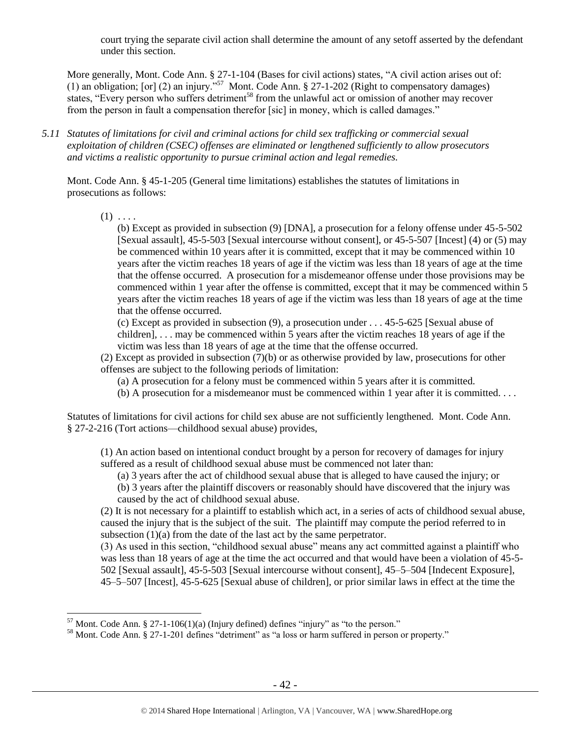court trying the separate civil action shall determine the amount of any setoff asserted by the defendant under this section.

More generally, Mont. Code Ann. § 27-1-104 (Bases for civil actions) states, "A civil action arises out of: (1) an obligation; [or] (2) an injury."<sup>57</sup> Mont. Code Ann. § 27-1-202 (Right to compensatory damages) states, "Every person who suffers detriment<sup>58</sup> from the unlawful act or omission of another may recover from the person in fault a compensation therefor [sic] in money, which is called damages."

*5.11 Statutes of limitations for civil and criminal actions for child sex trafficking or commercial sexual exploitation of children (CSEC) offenses are eliminated or lengthened sufficiently to allow prosecutors and victims a realistic opportunity to pursue criminal action and legal remedies.*

Mont. Code Ann. § 45-1-205 (General time limitations) establishes the statutes of limitations in prosecutions as follows:

 $(1)$  . . . .

 $\overline{a}$ 

(b) Except as provided in subsection (9) [DNA], a prosecution for a felony offense under 45-5-502 [Sexual assault], 45-5-503 [Sexual intercourse without consent], or 45-5-507 [Incest] (4) or (5) may be commenced within 10 years after it is committed, except that it may be commenced within 10 years after the victim reaches 18 years of age if the victim was less than 18 years of age at the time that the offense occurred. A prosecution for a misdemeanor offense under those provisions may be commenced within 1 year after the offense is committed, except that it may be commenced within 5 years after the victim reaches 18 years of age if the victim was less than 18 years of age at the time that the offense occurred.

(c) Except as provided in subsection (9), a prosecution under . . . 45-5-625 [Sexual abuse of children], . . . may be commenced within 5 years after the victim reaches 18 years of age if the victim was less than 18 years of age at the time that the offense occurred.

(2) Except as provided in subsection (7)(b) or as otherwise provided by law, prosecutions for other offenses are subject to the following periods of limitation:

- (a) A prosecution for a felony must be commenced within 5 years after it is committed.
- (b) A prosecution for a misdemeanor must be commenced within 1 year after it is committed.  $\dots$

Statutes of limitations for civil actions for child sex abuse are not sufficiently lengthened. Mont. Code Ann. § 27-2-216 (Tort actions—childhood sexual abuse) provides,

(1) An action based on intentional conduct brought by a person for recovery of damages for injury suffered as a result of childhood sexual abuse must be commenced not later than:

(a) 3 years after the act of childhood sexual abuse that is alleged to have caused the injury; or

(b) 3 years after the plaintiff discovers or reasonably should have discovered that the injury was caused by the act of childhood sexual abuse.

(2) It is not necessary for a plaintiff to establish which act, in a series of acts of childhood sexual abuse, caused the injury that is the subject of the suit. The plaintiff may compute the period referred to in subsection (1)(a) from the date of the last act by the same perpetrator.

(3) As used in this section, "childhood sexual abuse" means any act committed against a plaintiff who was less than 18 years of age at the time the act occurred and that would have been a violation of 45-5- 502 [Sexual assault], 45-5-503 [Sexual intercourse without consent], 45–5–504 [Indecent Exposure], 45–5–507 [Incest], 45-5-625 [Sexual abuse of children], or prior similar laws in effect at the time the

 $57$  Mont. Code Ann. § 27-1-106(1)(a) (Injury defined) defines "injury" as "to the person."

<sup>&</sup>lt;sup>58</sup> Mont. Code Ann. § 27-1-201 defines "detriment" as "a loss or harm suffered in person or property."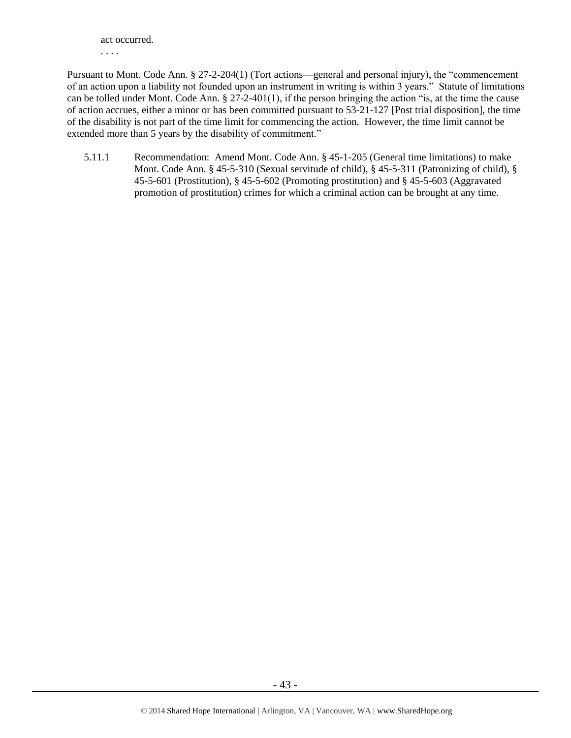act occurred. . . . .

Pursuant to Mont. Code Ann. § 27-2-204(1) (Tort actions—general and personal injury), the "commencement of an action upon a liability not founded upon an instrument in writing is within 3 years." Statute of limitations can be tolled under Mont. Code Ann. § 27-2-401(1), if the person bringing the action "is, at the time the cause of action accrues, either a minor or has been committed pursuant to 53-21-127 [Post trial disposition], the time of the disability is not part of the time limit for commencing the action. However, the time limit cannot be extended more than 5 years by the disability of commitment."

5.11.1 Recommendation: Amend Mont. Code Ann. § 45-1-205 (General time limitations) to make Mont. Code Ann. § 45-5-310 (Sexual servitude of child), § 45-5-311 (Patronizing of child), § 45-5-601 (Prostitution), § 45-5-602 (Promoting prostitution) and § 45-5-603 (Aggravated promotion of prostitution) crimes for which a criminal action can be brought at any time.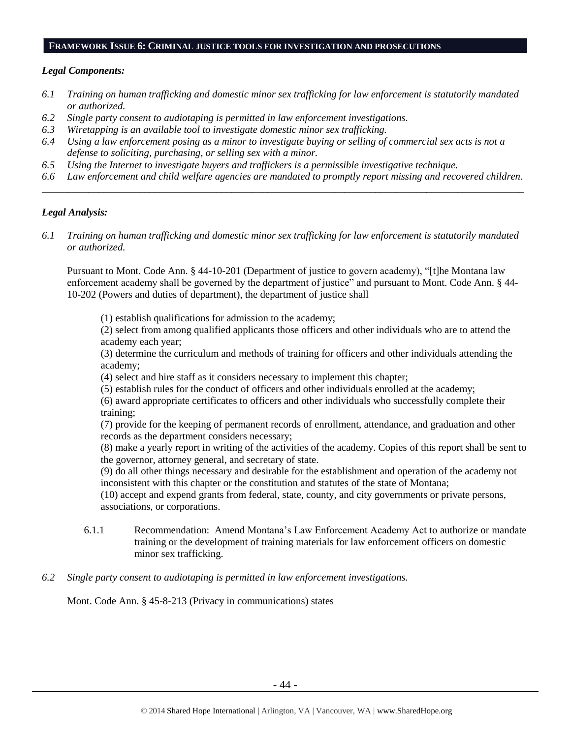## **FRAMEWORK ISSUE 6: CRIMINAL JUSTICE TOOLS FOR INVESTIGATION AND PROSECUTIONS**

## *Legal Components:*

- *6.1 Training on human trafficking and domestic minor sex trafficking for law enforcement is statutorily mandated or authorized.*
- *6.2 Single party consent to audiotaping is permitted in law enforcement investigations.*
- *6.3 Wiretapping is an available tool to investigate domestic minor sex trafficking.*
- *6.4 Using a law enforcement posing as a minor to investigate buying or selling of commercial sex acts is not a defense to soliciting, purchasing, or selling sex with a minor.*
- *6.5 Using the Internet to investigate buyers and traffickers is a permissible investigative technique.*
- *6.6 Law enforcement and child welfare agencies are mandated to promptly report missing and recovered children. \_\_\_\_\_\_\_\_\_\_\_\_\_\_\_\_\_\_\_\_\_\_\_\_\_\_\_\_\_\_\_\_\_\_\_\_\_\_\_\_\_\_\_\_\_\_\_\_\_\_\_\_\_\_\_\_\_\_\_\_\_\_\_\_\_\_\_\_\_\_\_\_\_\_\_\_\_\_\_\_\_\_\_\_\_\_\_\_\_\_\_\_\_\_*

## *Legal Analysis:*

*6.1 Training on human trafficking and domestic minor sex trafficking for law enforcement is statutorily mandated or authorized.*

Pursuant to Mont. Code Ann. § 44-10-201 (Department of justice to govern academy), "[t]he Montana law enforcement academy shall be governed by the department of justice" and pursuant to Mont. Code Ann. § 44- 10-202 (Powers and duties of department), the department of justice shall

(1) establish qualifications for admission to the academy;

(2) select from among qualified applicants those officers and other individuals who are to attend the academy each year;

(3) determine the curriculum and methods of training for officers and other individuals attending the academy;

(4) select and hire staff as it considers necessary to implement this chapter;

(5) establish rules for the conduct of officers and other individuals enrolled at the academy;

(6) award appropriate certificates to officers and other individuals who successfully complete their training;

(7) provide for the keeping of permanent records of enrollment, attendance, and graduation and other records as the department considers necessary;

(8) make a yearly report in writing of the activities of the academy. Copies of this report shall be sent to the governor, attorney general, and secretary of state.

(9) do all other things necessary and desirable for the establishment and operation of the academy not inconsistent with this chapter or the constitution and statutes of the state of Montana;

(10) accept and expend grants from federal, state, county, and city governments or private persons, associations, or corporations.

- 6.1.1 Recommendation: Amend Montana's Law Enforcement Academy Act to authorize or mandate training or the development of training materials for law enforcement officers on domestic minor sex trafficking.
- *6.2 Single party consent to audiotaping is permitted in law enforcement investigations.*

Mont. Code Ann. § 45-8-213 (Privacy in communications) states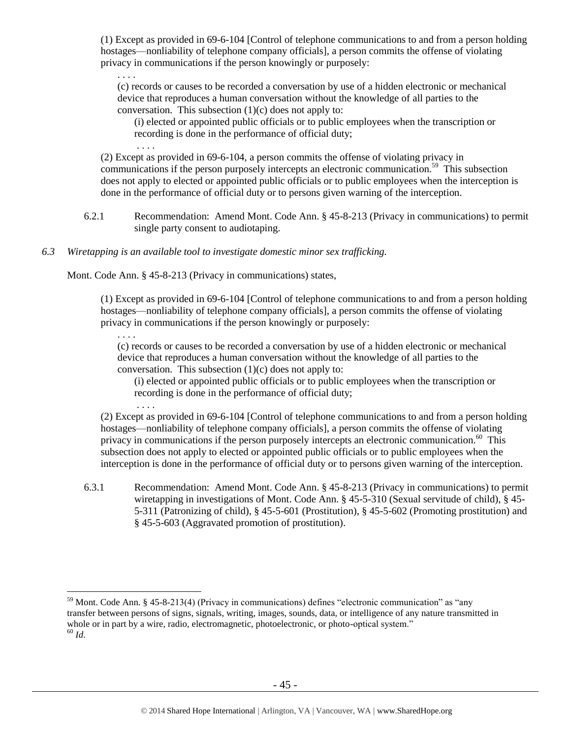(1) Except as provided in 69-6-104 [Control of telephone communications to and from a person holding hostages—nonliability of telephone company officials], a person commits the offense of violating privacy in communications if the person knowingly or purposely:

. . . . (c) records or causes to be recorded a conversation by use of a hidden electronic or mechanical device that reproduces a human conversation without the knowledge of all parties to the conversation. This subsection  $(1)(c)$  does not apply to:

(i) elected or appointed public officials or to public employees when the transcription or recording is done in the performance of official duty;

(2) Except as provided in [69-6-104,](http://data.opi.mt.gov/bills/mca/69/6/69-6-104.htm) a person commits the offense of violating privacy in communications if the person purposely intercepts an electronic communication.<sup>59</sup> This subsection does not apply to elected or appointed public officials or to public employees when the interception is done in the performance of official duty or to persons given warning of the interception.

- 6.2.1 Recommendation: Amend Mont. Code Ann. § 45-8-213 (Privacy in communications) to permit single party consent to audiotaping.
- *6.3 Wiretapping is an available tool to investigate domestic minor sex trafficking.*

Mont. Code Ann. § 45-8-213 (Privacy in communications) states,

. . . .

. . . .

. . . .

(1) Except as provided in [69-6-104](http://data.opi.mt.gov/bills/mca/69/6/69-6-104.htm) [Control of telephone communications to and from a person holding hostages—nonliability of telephone company officials], a person commits the offense of violating privacy in communications if the person knowingly or purposely:

(c) records or causes to be recorded a conversation by use of a hidden electronic or mechanical device that reproduces a human conversation without the knowledge of all parties to the conversation. This subsection  $(1)(c)$  does not apply to:

(i) elected or appointed public officials or to public employees when the transcription or recording is done in the performance of official duty;

(2) Except as provided in [69-6-104](http://data.opi.mt.gov/bills/mca/69/6/69-6-104.htm) [Control of telephone communications to and from a person holding hostages—nonliability of telephone company officials], a person commits the offense of violating privacy in communications if the person purposely intercepts an electronic communication.<sup>60</sup> This subsection does not apply to elected or appointed public officials or to public employees when the interception is done in the performance of official duty or to persons given warning of the interception.

6.3.1 Recommendation: Amend Mont. Code Ann. § 45-8-213 (Privacy in communications) to permit wiretapping in investigations of Mont. Code Ann. § 45-5-310 (Sexual servitude of child), § 45- 5-311 (Patronizing of child), § 45-5-601 (Prostitution), § 45-5-602 (Promoting prostitution) and § 45-5-603 (Aggravated promotion of prostitution).

 $\overline{a}$ <sup>59</sup> Mont. Code Ann. § 45-8-213(4) (Privacy in communications) defines "electronic communication" as "any transfer between persons of signs, signals, writing, images, sounds, data, or intelligence of any nature transmitted in whole or in part by a wire, radio, electromagnetic, photoelectronic, or photo-optical system."  $60$  *Id.*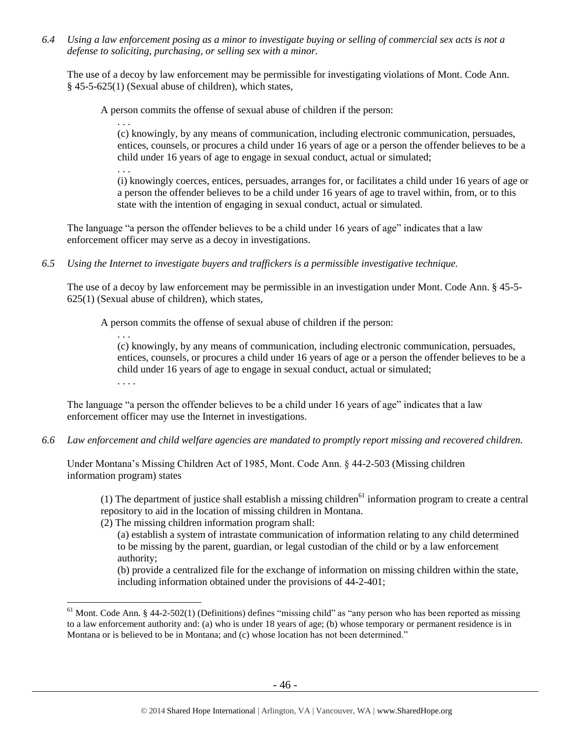*6.4 Using a law enforcement posing as a minor to investigate buying or selling of commercial sex acts is not a defense to soliciting, purchasing, or selling sex with a minor.*

The use of a decoy by law enforcement may be permissible for investigating violations of Mont. Code Ann. § 45-5-625(1) (Sexual abuse of children), which states,

A person commits the offense of sexual abuse of children if the person:

. . .

(c) knowingly, by any means of communication, including electronic communication, persuades, entices, counsels, or procures a child under 16 years of age or a person the offender believes to be a child under 16 years of age to engage in sexual conduct, actual or simulated;

. . .

 $\overline{a}$ 

(i) knowingly coerces, entices, persuades, arranges for, or facilitates a child under 16 years of age or a person the offender believes to be a child under 16 years of age to travel within, from, or to this state with the intention of engaging in sexual conduct, actual or simulated.

The language "a person the offender believes to be a child under 16 years of age" indicates that a law enforcement officer may serve as a decoy in investigations.

*6.5 Using the Internet to investigate buyers and traffickers is a permissible investigative technique.*

The use of a decoy by law enforcement may be permissible in an investigation under Mont. Code Ann. § 45-5- 625(1) (Sexual abuse of children), which states,

A person commits the offense of sexual abuse of children if the person:

. . . (c) knowingly, by any means of communication, including electronic communication, persuades, entices, counsels, or procures a child under 16 years of age or a person the offender believes to be a child under 16 years of age to engage in sexual conduct, actual or simulated; . . . .

The language "a person the offender believes to be a child under 16 years of age" indicates that a law enforcement officer may use the Internet in investigations.

*6.6 Law enforcement and child welfare agencies are mandated to promptly report missing and recovered children.*

Under Montana's Missing Children Act of 1985, Mont. Code Ann. § 44-2-503 (Missing children information program) states

(1) The department of justice shall establish a missing children<sup>61</sup> information program to create a central repository to aid in the location of missing children in Montana.

(2) The missing children information program shall:

(a) establish a system of intrastate communication of information relating to any child determined to be missing by the parent, guardian, or legal custodian of the child or by a law enforcement authority;

(b) provide a centralized file for the exchange of information on missing children within the state, including information obtained under the provisions of 44-2-401;

<sup>&</sup>lt;sup>61</sup> Mont. Code Ann. § 44-2-502(1) (Definitions) defines "missing child" as "any person who has been reported as missing to a law enforcement authority and: (a) who is under 18 years of age; (b) whose temporary or permanent residence is in Montana or is believed to be in Montana; and (c) whose location has not been determined."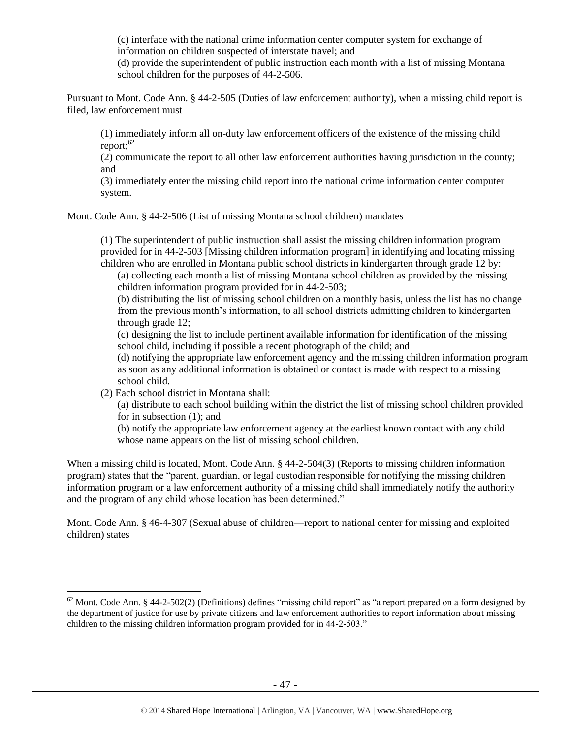(c) interface with the national crime information center computer system for exchange of information on children suspected of interstate travel; and

(d) provide the superintendent of public instruction each month with a list of missing Montana school children for the purposes of 44-2-506.

Pursuant to Mont. Code Ann. § 44-2-505 (Duties of law enforcement authority), when a missing child report is filed, law enforcement must

(1) immediately inform all on-duty law enforcement officers of the existence of the missing child report: $62$ 

(2) communicate the report to all other law enforcement authorities having jurisdiction in the county; and

(3) immediately enter the missing child report into the national crime information center computer system.

Mont. Code Ann. § 44-2-506 (List of missing Montana school children) mandates

(1) The superintendent of public instruction shall assist the missing children information program provided for in 44-2-503 [Missing children information program] in identifying and locating missing children who are enrolled in Montana public school districts in kindergarten through grade 12 by:

(a) collecting each month a list of missing Montana school children as provided by the missing children information program provided for in [44-2-503;](http://data.opi.mt.gov/bills/mca/44/2/44-2-503.htm)

(b) distributing the list of missing school children on a monthly basis, unless the list has no change from the previous month's information, to all school districts admitting children to kindergarten through grade 12;

(c) designing the list to include pertinent available information for identification of the missing school child, including if possible a recent photograph of the child; and

(d) notifying the appropriate law enforcement agency and the missing children information program as soon as any additional information is obtained or contact is made with respect to a missing school child.

(2) Each school district in Montana shall:

 $\overline{a}$ 

(a) distribute to each school building within the district the list of missing school children provided for in subsection (1); and

(b) notify the appropriate law enforcement agency at the earliest known contact with any child whose name appears on the list of missing school children.

When a missing child is located, Mont. Code Ann. § 44-2-504(3) (Reports to missing children information program) states that the "parent, guardian, or legal custodian responsible for notifying the missing children information program or a law enforcement authority of a missing child shall immediately notify the authority and the program of any child whose location has been determined."

Mont. Code Ann. § 46-4-307 (Sexual abuse of children—report to national center for missing and exploited children) states

 $62$  Mont. Code Ann. § 44-2-502(2) (Definitions) defines "missing child report" as "a report prepared on a form designed by the department of justice for use by private citizens and law enforcement authorities to report information about missing children to the missing children information program provided for in 44-2-503."